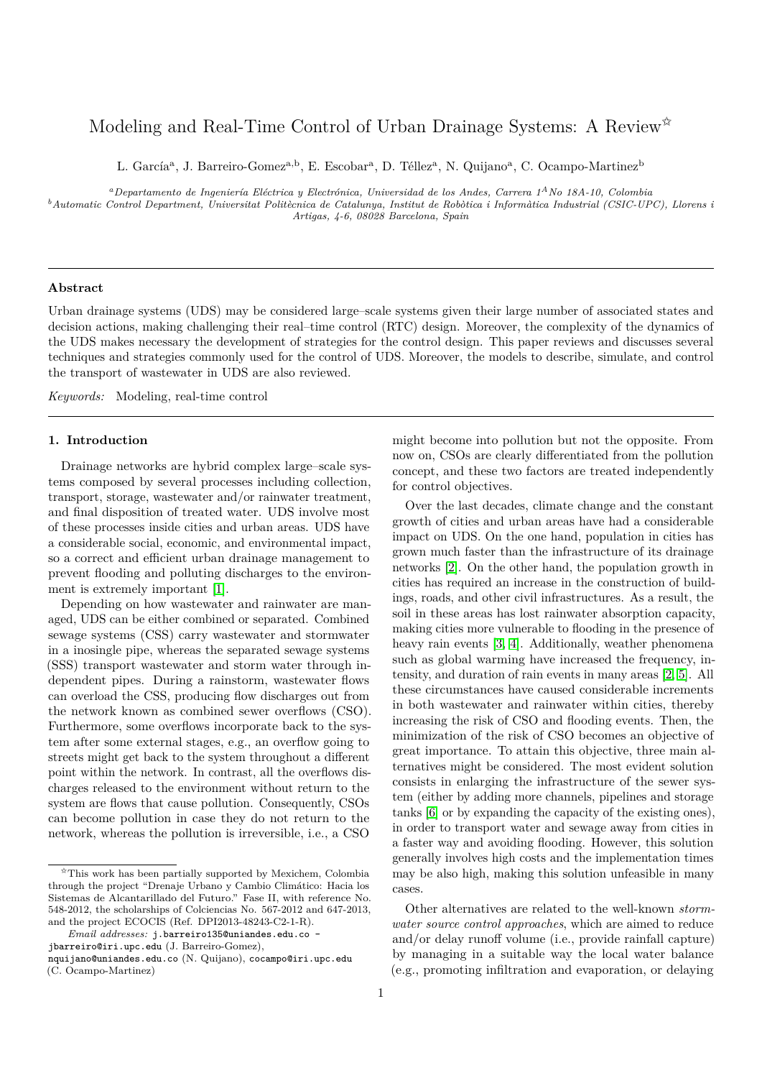# Modeling and Real-Time Control of Urban Drainage Systems: A Review<sup> $\hat{\star}$ </sup>

L. García<sup>a</sup>, J. Barreiro-Gomez<sup>a,b</sup>, E. Escobar<sup>a</sup>, D. Téllez<sup>a</sup>, N. Quijano<sup>a</sup>, C. Ocampo-Martinez<sup>b</sup>

*<sup>a</sup>Departamento de Ingeniería Eléctrica y Electrónica, Universidad de los Andes, Carrera 1ANo 18A-10, Colombia*

*<sup>b</sup>Automatic Control Department, Universitat Politècnica de Catalunya, Institut de Robòtica i Informàtica Industrial (CSIC-UPC), Llorens i Artigas, 4-6, 08028 Barcelona, Spain*

## **Abstract**

Urban drainage systems (UDS) may be considered large–scale systems given their large number of associated states and decision actions, making challenging their real–time control (RTC) design. Moreover, the complexity of the dynamics of the UDS makes necessary the development of strategies for the control design. This paper reviews and discusses several techniques and strategies commonly used for the control of UDS. Moreover, the models to describe, simulate, and control the transport of wastewater in UDS are also reviewed.

*Keywords:* Modeling, real-time control

## **1. Introduction**

Drainage networks are hybrid complex large–scale systems composed by several processes including collection, transport, storage, wastewater and/or rainwater treatment, and final disposition of treated water. UDS involve most of these processes inside cities and urban areas. UDS have a considerable social, economic, and environmental impact, so a correct and efficient urban drainage management to prevent flooding and polluting discharges to the environment is extremely important [\[1\]](#page-13-0).

Depending on how wastewater and rainwater are managed, UDS can be either combined or separated. Combined sewage systems (CSS) carry wastewater and stormwater in a inosingle pipe, whereas the separated sewage systems (SSS) transport wastewater and storm water through independent pipes. During a rainstorm, wastewater flows can overload the CSS, producing flow discharges out from the network known as combined sewer overflows (CSO). Furthermore, some overflows incorporate back to the system after some external stages, e.g., an overflow going to streets might get back to the system throughout a different point within the network. In contrast, all the overflows discharges released to the environment without return to the system are flows that cause pollution. Consequently, CSOs can become pollution in case they do not return to the network, whereas the pollution is irreversible, i.e., a CSO

*Email addresses:* j.barreiro135@uniandes.edu.co -

jbarreiro@iri.upc.edu (J. Barreiro-Gomez),

might become into pollution but not the opposite. From now on, CSOs are clearly differentiated from the pollution concept, and these two factors are treated independently for control objectives.

Over the last decades, climate change and the constant growth of cities and urban areas have had a considerable impact on UDS. On the one hand, population in cities has grown much faster than the infrastructure of its drainage networks [\[2\]](#page-13-1). On the other hand, the population growth in cities has required an increase in the construction of buildings, roads, and other civil infrastructures. As a result, the soil in these areas has lost rainwater absorption capacity, making cities more vulnerable to flooding in the presence of heavy rain events [\[3,](#page-13-2) [4\]](#page-13-3). Additionally, weather phenomena such as global warming have increased the frequency, intensity, and duration of rain events in many areas [\[2,](#page-13-1) [5\]](#page-13-4). All these circumstances have caused considerable increments in both wastewater and rainwater within cities, thereby increasing the risk of CSO and flooding events. Then, the minimization of the risk of CSO becomes an objective of great importance. To attain this objective, three main alternatives might be considered. The most evident solution consists in enlarging the infrastructure of the sewer system (either by adding more channels, pipelines and storage tanks [\[6\]](#page-13-5) or by expanding the capacity of the existing ones), in order to transport water and sewage away from cities in a faster way and avoiding flooding. However, this solution generally involves high costs and the implementation times may be also high, making this solution unfeasible in many cases.

Other alternatives are related to the well-known *stormwater source control approaches*, which are aimed to reduce and/or delay runoff volume (i.e., provide rainfall capture) by managing in a suitable way the local water balance (e.g., promoting infiltration and evaporation, or delaying

<sup>✩</sup>This work has been partially supported by Mexichem, Colombia through the project "Drenaje Urbano y Cambio Climático: Hacia los Sistemas de Alcantarillado del Futuro." Fase II, with reference No. 548-2012, the scholarships of Colciencias No. 567-2012 and 647-2013, and the project ECOCIS (Ref. DPI2013-48243-C2-1-R).

nquijano@uniandes.edu.co (N. Quijano), cocampo@iri.upc.edu (C. Ocampo-Martinez)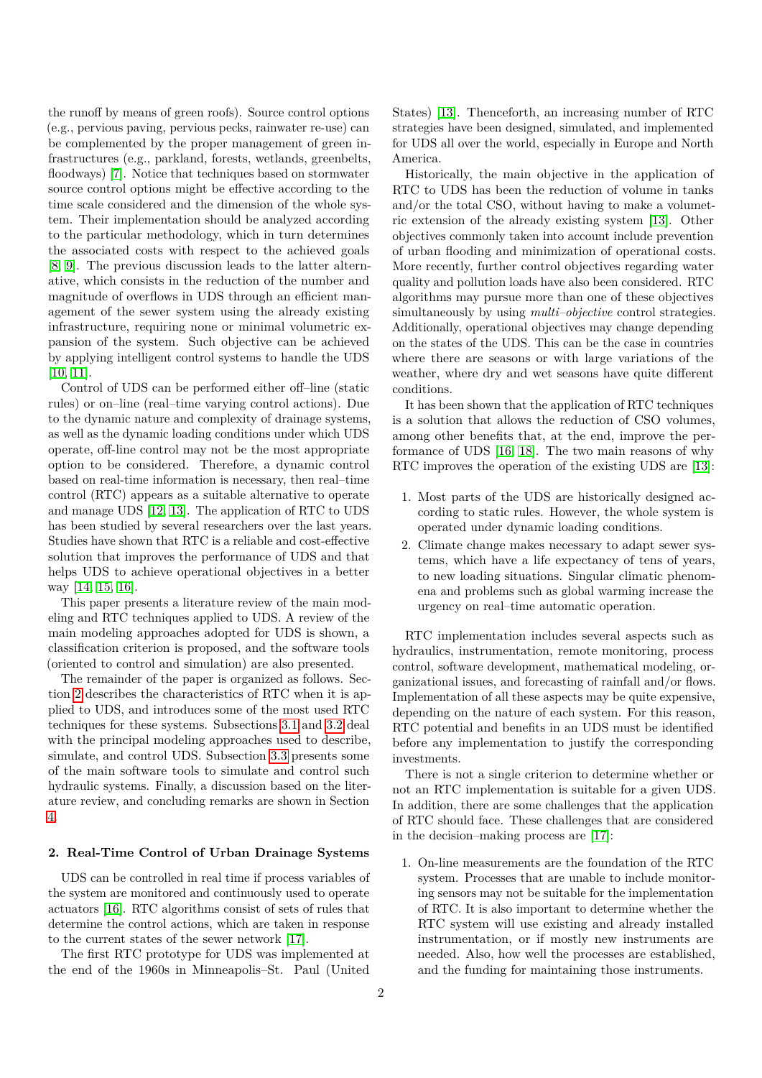the runoff by means of green roofs). Source control options (e.g., pervious paving, pervious pecks, rainwater re-use) can be complemented by the proper management of green infrastructures (e.g., parkland, forests, wetlands, greenbelts, floodways) [\[7\]](#page-13-6). Notice that techniques based on stormwater source control options might be effective according to the time scale considered and the dimension of the whole system. Their implementation should be analyzed according to the particular methodology, which in turn determines the associated costs with respect to the achieved goals [\[8,](#page-13-7) [9\]](#page-13-8). The previous discussion leads to the latter alternative, which consists in the reduction of the number and magnitude of overflows in UDS through an efficient management of the sewer system using the already existing infrastructure, requiring none or minimal volumetric expansion of the system. Such objective can be achieved by applying intelligent control systems to handle the UDS [\[10,](#page-13-9) [11\]](#page-13-10).

Control of UDS can be performed either off–line (static rules) or on–line (real–time varying control actions). Due to the dynamic nature and complexity of drainage systems, as well as the dynamic loading conditions under which UDS operate, off-line control may not be the most appropriate option to be considered. Therefore, a dynamic control based on real-time information is necessary, then real–time control (RTC) appears as a suitable alternative to operate and manage UDS [\[12,](#page-13-11) [13\]](#page-13-12). The application of RTC to UDS has been studied by several researchers over the last years. Studies have shown that RTC is a reliable and cost-effective solution that improves the performance of UDS and that helps UDS to achieve operational objectives in a better way [\[14,](#page-13-13) [15,](#page-13-14) [16\]](#page-13-15).

This paper presents a literature review of the main modeling and RTC techniques applied to UDS. A review of the main modeling approaches adopted for UDS is shown, a classification criterion is proposed, and the software tools (oriented to control and simulation) are also presented.

The remainder of the paper is organized as follows. Section [2](#page-1-0) describes the characteristics of RTC when it is applied to UDS, and introduces some of the most used RTC techniques for these systems. Subsections [3.1](#page-9-0) and [3.2](#page-11-0) deal with the principal modeling approaches used to describe, simulate, and control UDS. Subsection [3.3](#page-12-0) presents some of the main software tools to simulate and control such hydraulic systems. Finally, a discussion based on the literature review, and concluding remarks are shown in Section [4.](#page-13-16)

## <span id="page-1-0"></span>**2. Real-Time Control of Urban Drainage Systems**

UDS can be controlled in real time if process variables of the system are monitored and continuously used to operate actuators [\[16\]](#page-13-15). RTC algorithms consist of sets of rules that determine the control actions, which are taken in response to the current states of the sewer network [\[17\]](#page-14-0).

The first RTC prototype for UDS was implemented at the end of the 1960s in Minneapolis–St. Paul (United

States) [\[13\]](#page-13-12). Thenceforth, an increasing number of RTC strategies have been designed, simulated, and implemented for UDS all over the world, especially in Europe and North America.

Historically, the main objective in the application of RTC to UDS has been the reduction of volume in tanks and/or the total CSO, without having to make a volumetric extension of the already existing system [\[13\]](#page-13-12). Other objectives commonly taken into account include prevention of urban flooding and minimization of operational costs. More recently, further control objectives regarding water quality and pollution loads have also been considered. RTC algorithms may pursue more than one of these objectives simultaneously by using *multi–objective* control strategies. Additionally, operational objectives may change depending on the states of the UDS. This can be the case in countries where there are seasons or with large variations of the weather, where dry and wet seasons have quite different conditions.

It has been shown that the application of RTC techniques is a solution that allows the reduction of CSO volumes, among other benefits that, at the end, improve the performance of UDS [\[16,](#page-13-15) [18\]](#page-14-1). The two main reasons of why RTC improves the operation of the existing UDS are [\[13\]](#page-13-12):

- 1. Most parts of the UDS are historically designed according to static rules. However, the whole system is operated under dynamic loading conditions.
- 2. Climate change makes necessary to adapt sewer systems, which have a life expectancy of tens of years, to new loading situations. Singular climatic phenomena and problems such as global warming increase the urgency on real–time automatic operation.

RTC implementation includes several aspects such as hydraulics, instrumentation, remote monitoring, process control, software development, mathematical modeling, organizational issues, and forecasting of rainfall and/or flows. Implementation of all these aspects may be quite expensive, depending on the nature of each system. For this reason, RTC potential and benefits in an UDS must be identified before any implementation to justify the corresponding investments.

There is not a single criterion to determine whether or not an RTC implementation is suitable for a given UDS. In addition, there are some challenges that the application of RTC should face. These challenges that are considered in the decision–making process are [\[17\]](#page-14-0):

1. On-line measurements are the foundation of the RTC system. Processes that are unable to include monitoring sensors may not be suitable for the implementation of RTC. It is also important to determine whether the RTC system will use existing and already installed instrumentation, or if mostly new instruments are needed. Also, how well the processes are established, and the funding for maintaining those instruments.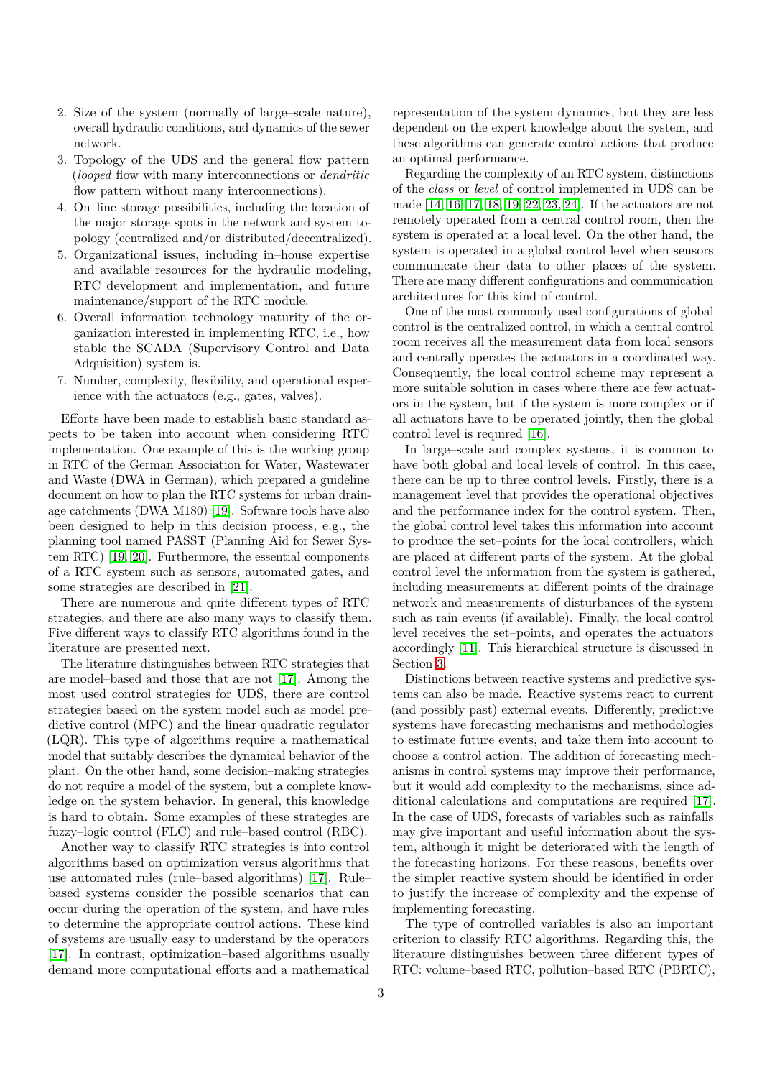- 2. Size of the system (normally of large–scale nature), overall hydraulic conditions, and dynamics of the sewer network.
- 3. Topology of the UDS and the general flow pattern (*looped* flow with many interconnections or *dendritic* flow pattern without many interconnections).
- 4. On–line storage possibilities, including the location of the major storage spots in the network and system topology (centralized and/or distributed/decentralized).
- 5. Organizational issues, including in–house expertise and available resources for the hydraulic modeling, RTC development and implementation, and future maintenance/support of the RTC module.
- 6. Overall information technology maturity of the organization interested in implementing RTC, i.e., how stable the SCADA (Supervisory Control and Data Adquisition) system is.
- 7. Number, complexity, flexibility, and operational experience with the actuators (e.g., gates, valves).

Efforts have been made to establish basic standard aspects to be taken into account when considering RTC implementation. One example of this is the working group in RTC of the German Association for Water, Wastewater and Waste (DWA in German), which prepared a guideline document on how to plan the RTC systems for urban drainage catchments (DWA M180) [\[19\]](#page-14-2). Software tools have also been designed to help in this decision process, e.g., the planning tool named PASST (Planning Aid for Sewer System RTC) [\[19,](#page-14-2) [20\]](#page-14-3). Furthermore, the essential components of a RTC system such as sensors, automated gates, and some strategies are described in [\[21\]](#page-14-4).

There are numerous and quite different types of RTC strategies, and there are also many ways to classify them. Five different ways to classify RTC algorithms found in the literature are presented next.

The literature distinguishes between RTC strategies that are model–based and those that are not [\[17\]](#page-14-0). Among the most used control strategies for UDS, there are control strategies based on the system model such as model predictive control (MPC) and the linear quadratic regulator (LQR). This type of algorithms require a mathematical model that suitably describes the dynamical behavior of the plant. On the other hand, some decision–making strategies do not require a model of the system, but a complete knowledge on the system behavior. In general, this knowledge is hard to obtain. Some examples of these strategies are fuzzy–logic control (FLC) and rule–based control (RBC).

Another way to classify RTC strategies is into control algorithms based on optimization versus algorithms that use automated rules (rule–based algorithms) [\[17\]](#page-14-0). Rule– based systems consider the possible scenarios that can occur during the operation of the system, and have rules to determine the appropriate control actions. These kind of systems are usually easy to understand by the operators [\[17\]](#page-14-0). In contrast, optimization–based algorithms usually demand more computational efforts and a mathematical

representation of the system dynamics, but they are less dependent on the expert knowledge about the system, and these algorithms can generate control actions that produce an optimal performance.

Regarding the complexity of an RTC system, distinctions of the *class* or *level* of control implemented in UDS can be made [\[14,](#page-13-13) [16,](#page-13-15) [17,](#page-14-0) [18,](#page-14-1) [19,](#page-14-2) [22,](#page-14-5) [23,](#page-14-6) [24\]](#page-14-7). If the actuators are not remotely operated from a central control room, then the system is operated at a local level. On the other hand, the system is operated in a global control level when sensors communicate their data to other places of the system. There are many different configurations and communication architectures for this kind of control.

One of the most commonly used configurations of global control is the centralized control, in which a central control room receives all the measurement data from local sensors and centrally operates the actuators in a coordinated way. Consequently, the local control scheme may represent a more suitable solution in cases where there are few actuators in the system, but if the system is more complex or if all actuators have to be operated jointly, then the global control level is required [\[16\]](#page-13-15).

In large–scale and complex systems, it is common to have both global and local levels of control. In this case, there can be up to three control levels. Firstly, there is a management level that provides the operational objectives and the performance index for the control system. Then, the global control level takes this information into account to produce the set–points for the local controllers, which are placed at different parts of the system. At the global control level the information from the system is gathered, including measurements at different points of the drainage network and measurements of disturbances of the system such as rain events (if available). Finally, the local control level receives the set–points, and operates the actuators accordingly [\[11\]](#page-13-10). This hierarchical structure is discussed in Section [3.](#page-8-0)

Distinctions between reactive systems and predictive systems can also be made. Reactive systems react to current (and possibly past) external events. Differently, predictive systems have forecasting mechanisms and methodologies to estimate future events, and take them into account to choose a control action. The addition of forecasting mechanisms in control systems may improve their performance, but it would add complexity to the mechanisms, since additional calculations and computations are required [\[17\]](#page-14-0). In the case of UDS, forecasts of variables such as rainfalls may give important and useful information about the system, although it might be deteriorated with the length of the forecasting horizons. For these reasons, benefits over the simpler reactive system should be identified in order to justify the increase of complexity and the expense of implementing forecasting.

The type of controlled variables is also an important criterion to classify RTC algorithms. Regarding this, the literature distinguishes between three different types of RTC: volume–based RTC, pollution–based RTC (PBRTC),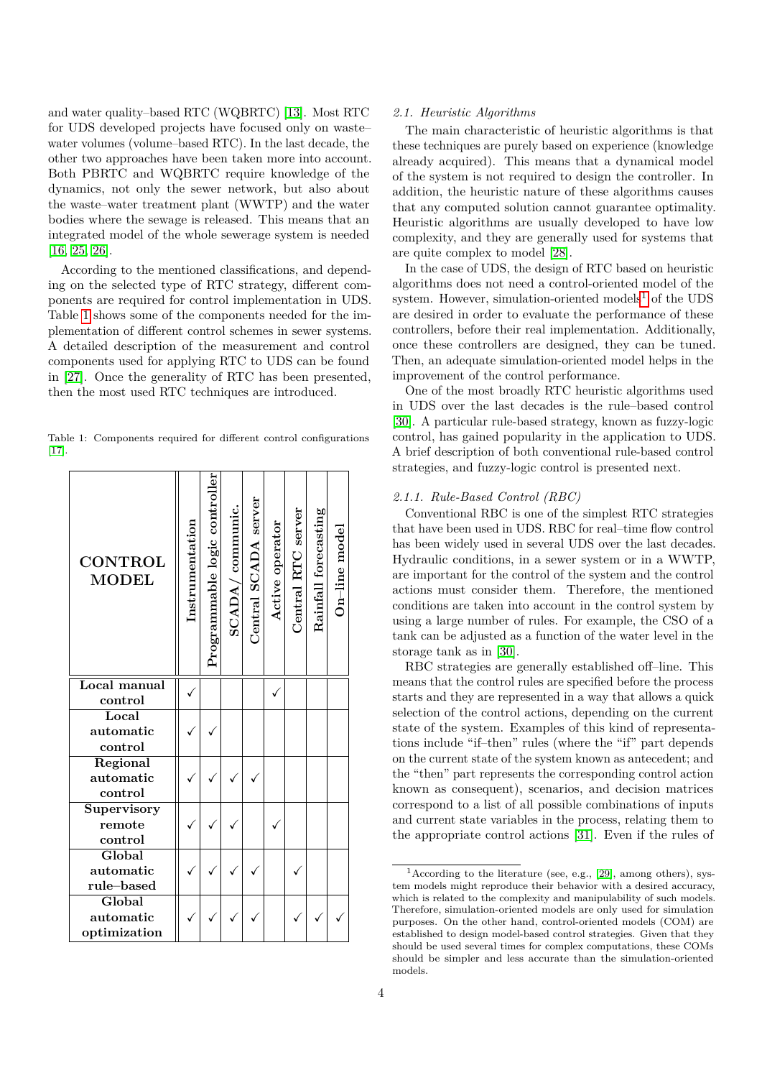and water quality–based RTC (WQBRTC) [\[13\]](#page-13-12). Most RTC for UDS developed projects have focused only on waste– water volumes (volume–based RTC). In the last decade, the other two approaches have been taken more into account. Both PBRTC and WQBRTC require knowledge of the dynamics, not only the sewer network, but also about the waste–water treatment plant (WWTP) and the water bodies where the sewage is released. This means that an integrated model of the whole sewerage system is needed [\[16,](#page-13-15) [25,](#page-14-8) [26\]](#page-14-9).

According to the mentioned classifications, and depending on the selected type of RTC strategy, different components are required for control implementation in UDS. Table [1](#page-3-0) shows some of the components needed for the implementation of different control schemes in sewer systems. A detailed description of the measurement and control components used for applying RTC to UDS can be found in [\[27\]](#page-14-10). Once the generality of RTC has been presented, then the most used RTC techniques are introduced.

<span id="page-3-0"></span>

|          |  |  | Table 1: Components required for different control configurations |
|----------|--|--|-------------------------------------------------------------------|
| $[17]$ . |  |  |                                                                   |

| <b>CONTROL</b><br><b>MODEL</b> | Instrumentation | Programmable logic controller | $\mathbf{SCADA}/\ \textbf{communic}.$ | Central SCADA server | Active operator | Central RTC server | Rainfall forecasting | On-line model |
|--------------------------------|-----------------|-------------------------------|---------------------------------------|----------------------|-----------------|--------------------|----------------------|---------------|
| Local manual                   |                 |                               |                                       |                      |                 |                    |                      |               |
| control                        |                 |                               |                                       |                      |                 |                    |                      |               |
| $\overline{\text{Local}}$      |                 |                               |                                       |                      |                 |                    |                      |               |
| automatic                      |                 |                               |                                       |                      |                 |                    |                      |               |
| control                        |                 |                               |                                       |                      |                 |                    |                      |               |
| Regional                       |                 |                               |                                       |                      |                 |                    |                      |               |
| automatic                      |                 |                               |                                       |                      |                 |                    |                      |               |
| control                        |                 |                               |                                       |                      |                 |                    |                      |               |
| Supervisory                    |                 |                               |                                       |                      |                 |                    |                      |               |
| remote                         |                 |                               |                                       |                      |                 |                    |                      |               |
| control                        |                 |                               |                                       |                      |                 |                    |                      |               |
| Global                         |                 |                               |                                       |                      |                 |                    |                      |               |
| automatic                      |                 |                               |                                       |                      |                 |                    |                      |               |
| rule-based                     |                 |                               |                                       |                      |                 |                    |                      |               |
| Global                         |                 |                               |                                       |                      |                 |                    |                      |               |
| automatic                      |                 |                               |                                       |                      |                 |                    |                      |               |
| optimization                   |                 |                               |                                       |                      |                 |                    |                      |               |

## *2.1. Heuristic Algorithms*

The main characteristic of heuristic algorithms is that these techniques are purely based on experience (knowledge already acquired). This means that a dynamical model of the system is not required to design the controller. In addition, the heuristic nature of these algorithms causes that any computed solution cannot guarantee optimality. Heuristic algorithms are usually developed to have low complexity, and they are generally used for systems that are quite complex to model [\[28\]](#page-14-11).

In the case of UDS, the design of RTC based on heuristic algorithms does not need a control-oriented model of the system. However, simulation-oriented models<sup>[1](#page-3-1)</sup> of the UDS are desired in order to evaluate the performance of these controllers, before their real implementation. Additionally, once these controllers are designed, they can be tuned. Then, an adequate simulation-oriented model helps in the improvement of the control performance.

One of the most broadly RTC heuristic algorithms used in UDS over the last decades is the rule–based control [\[30\]](#page-14-12). A particular rule-based strategy, known as fuzzy-logic control, has gained popularity in the application to UDS. A brief description of both conventional rule-based control strategies, and fuzzy-logic control is presented next.

## *2.1.1. Rule-Based Control (RBC)*

Conventional RBC is one of the simplest RTC strategies that have been used in UDS. RBC for real–time flow control has been widely used in several UDS over the last decades. Hydraulic conditions, in a sewer system or in a WWTP, are important for the control of the system and the control actions must consider them. Therefore, the mentioned conditions are taken into account in the control system by using a large number of rules. For example, the CSO of a tank can be adjusted as a function of the water level in the storage tank as in [\[30\]](#page-14-12).

RBC strategies are generally established off–line. This means that the control rules are specified before the process starts and they are represented in a way that allows a quick selection of the control actions, depending on the current state of the system. Examples of this kind of representations include "if–then" rules (where the "if" part depends on the current state of the system known as antecedent; and the "then" part represents the corresponding control action known as consequent), scenarios, and decision matrices correspond to a list of all possible combinations of inputs and current state variables in the process, relating them to the appropriate control actions [\[31\]](#page-14-13). Even if the rules of

<span id="page-3-1"></span><sup>1</sup>According to the literature (see, e.g., [\[29\]](#page-14-14), among others), system models might reproduce their behavior with a desired accuracy, which is related to the complexity and manipulability of such models. Therefore, simulation-oriented models are only used for simulation purposes. On the other hand, control-oriented models (COM) are established to design model-based control strategies. Given that they should be used several times for complex computations, these COMs should be simpler and less accurate than the simulation-oriented models.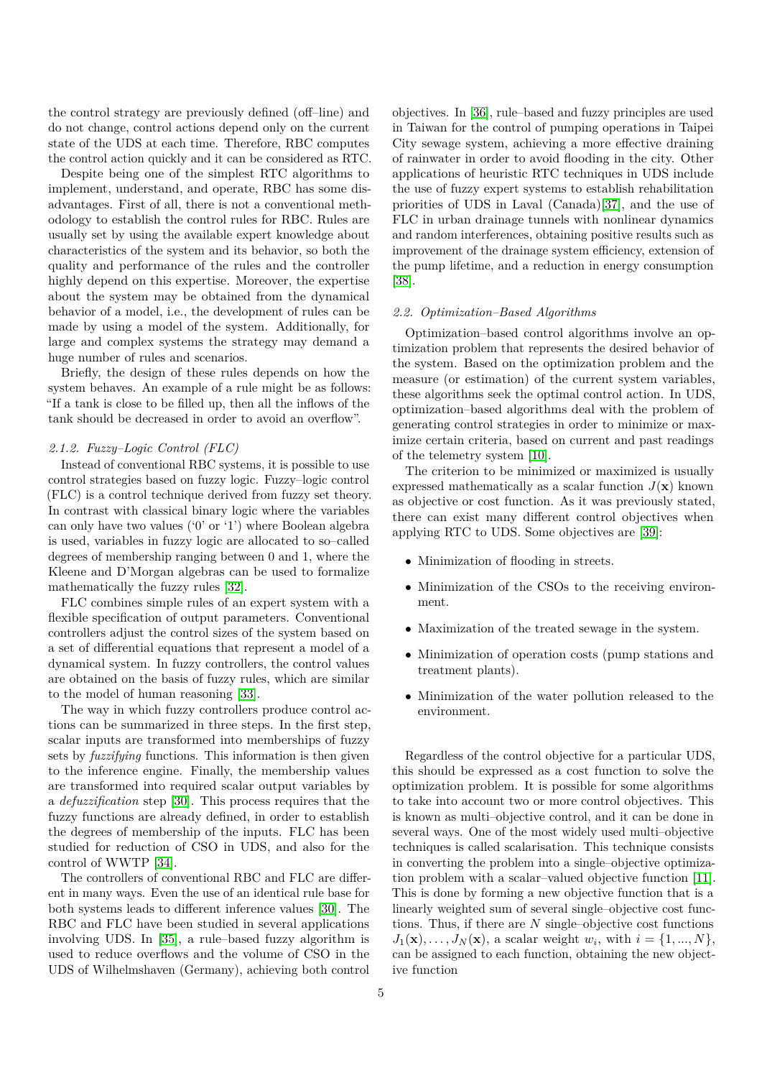the control strategy are previously defined (off–line) and do not change, control actions depend only on the current state of the UDS at each time. Therefore, RBC computes the control action quickly and it can be considered as RTC.

Despite being one of the simplest RTC algorithms to implement, understand, and operate, RBC has some disadvantages. First of all, there is not a conventional methodology to establish the control rules for RBC. Rules are usually set by using the available expert knowledge about characteristics of the system and its behavior, so both the quality and performance of the rules and the controller highly depend on this expertise. Moreover, the expertise about the system may be obtained from the dynamical behavior of a model, i.e., the development of rules can be made by using a model of the system. Additionally, for large and complex systems the strategy may demand a huge number of rules and scenarios.

Briefly, the design of these rules depends on how the system behaves. An example of a rule might be as follows: "If a tank is close to be filled up, then all the inflows of the tank should be decreased in order to avoid an overflow".

#### *2.1.2. Fuzzy–Logic Control (FLC)*

Instead of conventional RBC systems, it is possible to use control strategies based on fuzzy logic. Fuzzy–logic control (FLC) is a control technique derived from fuzzy set theory. In contrast with classical binary logic where the variables can only have two values ('0' or '1') where Boolean algebra is used, variables in fuzzy logic are allocated to so–called degrees of membership ranging between 0 and 1, where the Kleene and D'Morgan algebras can be used to formalize mathematically the fuzzy rules [\[32\]](#page-14-15).

FLC combines simple rules of an expert system with a flexible specification of output parameters. Conventional controllers adjust the control sizes of the system based on a set of differential equations that represent a model of a dynamical system. In fuzzy controllers, the control values are obtained on the basis of fuzzy rules, which are similar to the model of human reasoning [\[33\]](#page-14-16).

The way in which fuzzy controllers produce control actions can be summarized in three steps. In the first step, scalar inputs are transformed into memberships of fuzzy sets by *fuzzifying* functions. This information is then given to the inference engine. Finally, the membership values are transformed into required scalar output variables by a *defuzzification* step [\[30\]](#page-14-12). This process requires that the fuzzy functions are already defined, in order to establish the degrees of membership of the inputs. FLC has been studied for reduction of CSO in UDS, and also for the control of WWTP [\[34\]](#page-14-17).

The controllers of conventional RBC and FLC are different in many ways. Even the use of an identical rule base for both systems leads to different inference values [\[30\]](#page-14-12). The RBC and FLC have been studied in several applications involving UDS. In [\[35\]](#page-14-18), a rule–based fuzzy algorithm is used to reduce overflows and the volume of CSO in the UDS of Wilhelmshaven (Germany), achieving both control

objectives. In [\[36\]](#page-14-19), rule–based and fuzzy principles are used in Taiwan for the control of pumping operations in Taipei City sewage system, achieving a more effective draining of rainwater in order to avoid flooding in the city. Other applications of heuristic RTC techniques in UDS include the use of fuzzy expert systems to establish rehabilitation priorities of UDS in Laval (Canada)[\[37\]](#page-14-20), and the use of FLC in urban drainage tunnels with nonlinear dynamics and random interferences, obtaining positive results such as improvement of the drainage system efficiency, extension of the pump lifetime, and a reduction in energy consumption [\[38\]](#page-14-21).

## *2.2. Optimization–Based Algorithms*

Optimization–based control algorithms involve an optimization problem that represents the desired behavior of the system. Based on the optimization problem and the measure (or estimation) of the current system variables, these algorithms seek the optimal control action. In UDS, optimization–based algorithms deal with the problem of generating control strategies in order to minimize or maximize certain criteria, based on current and past readings of the telemetry system [\[10\]](#page-13-9).

The criterion to be minimized or maximized is usually expressed mathematically as a scalar function  $J(\mathbf{x})$  known as objective or cost function. As it was previously stated, there can exist many different control objectives when applying RTC to UDS. Some objectives are [\[39\]](#page-14-22):

- Minimization of flooding in streets.
- Minimization of the CSOs to the receiving environment.
- Maximization of the treated sewage in the system.
- Minimization of operation costs (pump stations and treatment plants).
- Minimization of the water pollution released to the environment.

Regardless of the control objective for a particular UDS, this should be expressed as a cost function to solve the optimization problem. It is possible for some algorithms to take into account two or more control objectives. This is known as multi–objective control, and it can be done in several ways. One of the most widely used multi–objective techniques is called scalarisation. This technique consists in converting the problem into a single–objective optimization problem with a scalar–valued objective function [\[11\]](#page-13-10). This is done by forming a new objective function that is a linearly weighted sum of several single–objective cost functions. Thus, if there are *N* single–objective cost functions  $J_1(\mathbf{x}), \ldots, J_N(\mathbf{x}),$  a scalar weight  $w_i$ , with  $i = \{1, ..., N\},$ can be assigned to each function, obtaining the new objective function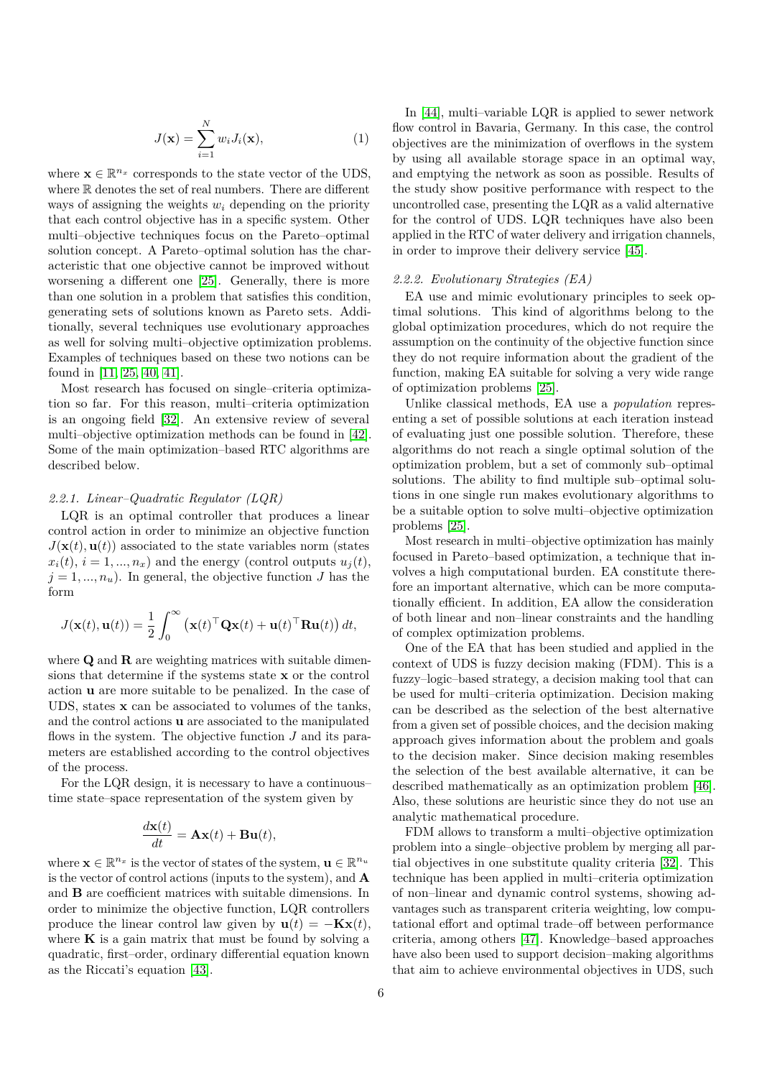<span id="page-5-0"></span>
$$
J(\mathbf{x}) = \sum_{i=1}^{N} w_i J_i(\mathbf{x}),
$$
\n(1)

where  $\mathbf{x} \in \mathbb{R}^{n_x}$  corresponds to the state vector of the UDS, where R denotes the set of real numbers. There are different ways of assigning the weights *w<sup>i</sup>* depending on the priority that each control objective has in a specific system. Other multi–objective techniques focus on the Pareto–optimal solution concept. A Pareto–optimal solution has the characteristic that one objective cannot be improved without worsening a different one [\[25\]](#page-14-8). Generally, there is more than one solution in a problem that satisfies this condition, generating sets of solutions known as Pareto sets. Additionally, several techniques use evolutionary approaches as well for solving multi–objective optimization problems. Examples of techniques based on these two notions can be found in [\[11,](#page-13-10) [25,](#page-14-8) [40,](#page-14-23) [41\]](#page-14-24).

Most research has focused on single–criteria optimization so far. For this reason, multi–criteria optimization is an ongoing field [\[32\]](#page-14-15). An extensive review of several multi–objective optimization methods can be found in [\[42\]](#page-14-25). Some of the main optimization–based RTC algorithms are described below.

#### *2.2.1. Linear–Quadratic Regulator (LQR)*

LQR is an optimal controller that produces a linear control action in order to minimize an objective function  $J(\mathbf{x}(t), \mathbf{u}(t))$  associated to the state variables norm (states  $x_i(t)$ ,  $i = 1, ..., n_x$ ) and the energy (control outputs  $u_i(t)$ ,  $j = 1, ..., n_u$ ). In general, the objective function *J* has the form

$$
J(\mathbf{x}(t), \mathbf{u}(t)) = \frac{1}{2} \int_0^\infty \left( \mathbf{x}(t)^\top \mathbf{Q} \mathbf{x}(t) + \mathbf{u}(t)^\top \mathbf{R} \mathbf{u}(t) \right) dt,
$$

where **Q** and **R** are weighting matrices with suitable dimensions that determine if the systems state **x** or the control action **u** are more suitable to be penalized. In the case of UDS, states **x** can be associated to volumes of the tanks, and the control actions **u** are associated to the manipulated flows in the system. The objective function *J* and its parameters are established according to the control objectives of the process.

For the LQR design, it is necessary to have a continuous– time state–space representation of the system given by

$$
\frac{d\mathbf{x}(t)}{dt} = \mathbf{A}\mathbf{x}(t) + \mathbf{B}\mathbf{u}(t),
$$

where  $\mathbf{x} \in \mathbb{R}^{n_x}$  is the vector of states of the system,  $\mathbf{u} \in \mathbb{R}^{n_u}$ is the vector of control actions (inputs to the system), and **A** and **B** are coefficient matrices with suitable dimensions. In order to minimize the objective function, LQR controllers produce the linear control law given by  $\mathbf{u}(t) = -\mathbf{K}\mathbf{x}(t)$ , where  $\bf{K}$  is a gain matrix that must be found by solving a quadratic, first–order, ordinary differential equation known as the Riccati's equation [\[43\]](#page-14-26).

In [\[44\]](#page-14-27), multi–variable LQR is applied to sewer network flow control in Bavaria, Germany. In this case, the control objectives are the minimization of overflows in the system by using all available storage space in an optimal way, and emptying the network as soon as possible. Results of the study show positive performance with respect to the uncontrolled case, presenting the LQR as a valid alternative for the control of UDS. LQR techniques have also been applied in the RTC of water delivery and irrigation channels, in order to improve their delivery service [\[45\]](#page-14-28).

#### *2.2.2. Evolutionary Strategies (EA)*

EA use and mimic evolutionary principles to seek optimal solutions. This kind of algorithms belong to the global optimization procedures, which do not require the assumption on the continuity of the objective function since they do not require information about the gradient of the function, making EA suitable for solving a very wide range of optimization problems [\[25\]](#page-14-8).

Unlike classical methods, EA use a *population* representing a set of possible solutions at each iteration instead of evaluating just one possible solution. Therefore, these algorithms do not reach a single optimal solution of the optimization problem, but a set of commonly sub–optimal solutions. The ability to find multiple sub–optimal solutions in one single run makes evolutionary algorithms to be a suitable option to solve multi–objective optimization problems [\[25\]](#page-14-8).

Most research in multi–objective optimization has mainly focused in Pareto–based optimization, a technique that involves a high computational burden. EA constitute therefore an important alternative, which can be more computationally efficient. In addition, EA allow the consideration of both linear and non–linear constraints and the handling of complex optimization problems.

One of the EA that has been studied and applied in the context of UDS is fuzzy decision making (FDM). This is a fuzzy–logic–based strategy, a decision making tool that can be used for multi–criteria optimization. Decision making can be described as the selection of the best alternative from a given set of possible choices, and the decision making approach gives information about the problem and goals to the decision maker. Since decision making resembles the selection of the best available alternative, it can be described mathematically as an optimization problem [\[46\]](#page-14-29). Also, these solutions are heuristic since they do not use an analytic mathematical procedure.

FDM allows to transform a multi–objective optimization problem into a single–objective problem by merging all partial objectives in one substitute quality criteria [\[32\]](#page-14-15). This technique has been applied in multi–criteria optimization of non–linear and dynamic control systems, showing advantages such as transparent criteria weighting, low computational effort and optimal trade–off between performance criteria, among others [\[47\]](#page-14-30). Knowledge–based approaches have also been used to support decision–making algorithms that aim to achieve environmental objectives in UDS, such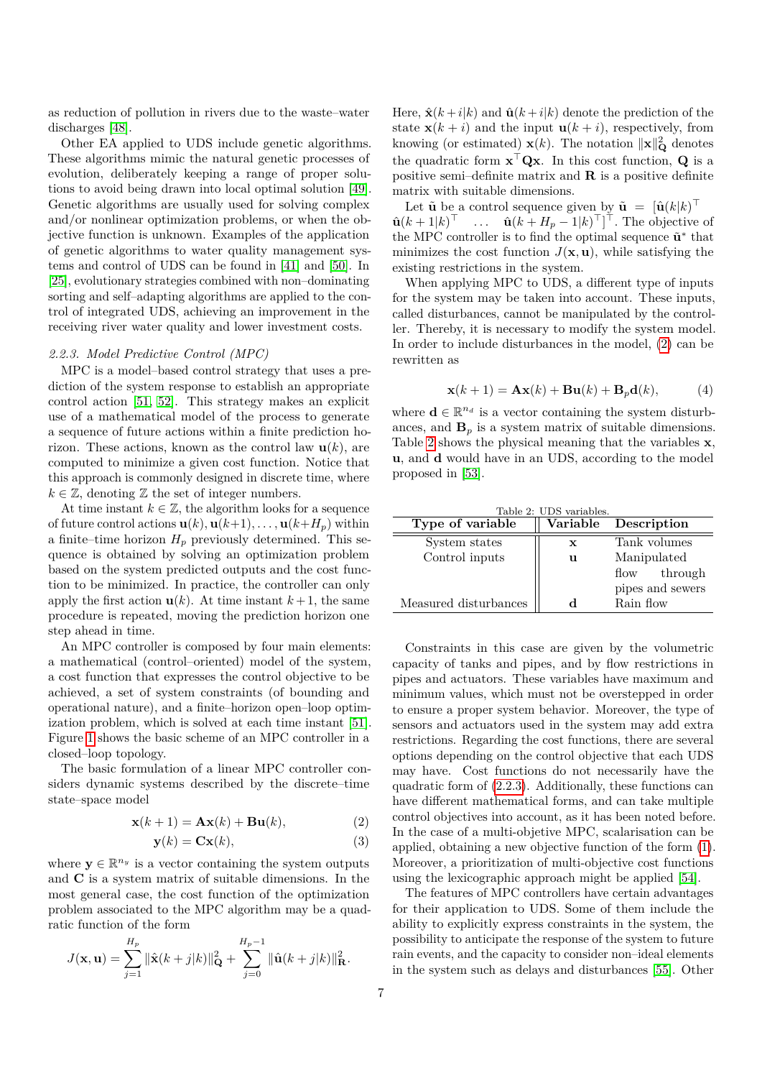as reduction of pollution in rivers due to the waste–water discharges [\[48\]](#page-14-31).

Other EA applied to UDS include genetic algorithms. These algorithms mimic the natural genetic processes of evolution, deliberately keeping a range of proper solutions to avoid being drawn into local optimal solution [\[49\]](#page-14-32). Genetic algorithms are usually used for solving complex and/or nonlinear optimization problems, or when the objective function is unknown. Examples of the application of genetic algorithms to water quality management systems and control of UDS can be found in [\[41\]](#page-14-24) and [\[50\]](#page-14-33). In [\[25\]](#page-14-8), evolutionary strategies combined with non–dominating sorting and self–adapting algorithms are applied to the control of integrated UDS, achieving an improvement in the receiving river water quality and lower investment costs.

#### *2.2.3. Model Predictive Control (MPC)*

MPC is a model–based control strategy that uses a prediction of the system response to establish an appropriate control action [\[51,](#page-14-34) [52\]](#page-14-35). This strategy makes an explicit use of a mathematical model of the process to generate a sequence of future actions within a finite prediction horizon. These actions, known as the control law  $\mathbf{u}(k)$ , are computed to minimize a given cost function. Notice that this approach is commonly designed in discrete time, where  $k \in \mathbb{Z}$ , denoting  $\mathbb Z$  the set of integer numbers.

At time instant  $k \in \mathbb{Z}$ , the algorithm looks for a sequence of future control actions  $\mathbf{u}(k)$ ,  $\mathbf{u}(k+1)$ , ...,  $\mathbf{u}(k+H_p)$  within a finite–time horizon  $H_p$  previously determined. This sequence is obtained by solving an optimization problem based on the system predicted outputs and the cost function to be minimized. In practice, the controller can only apply the first action  $\mathbf{u}(k)$ . At time instant  $k+1$ , the same procedure is repeated, moving the prediction horizon one step ahead in time.

An MPC controller is composed by four main elements: a mathematical (control–oriented) model of the system, a cost function that expresses the control objective to be achieved, a set of system constraints (of bounding and operational nature), and a finite–horizon open–loop optimization problem, which is solved at each time instant [\[51\]](#page-14-34). Figure [1](#page-7-0) shows the basic scheme of an MPC controller in a closed–loop topology.

The basic formulation of a linear MPC controller considers dynamic systems described by the discrete–time state–space model

$$
\mathbf{x}(k+1) = \mathbf{A}\mathbf{x}(k) + \mathbf{B}\mathbf{u}(k),\tag{2}
$$

$$
\mathbf{y}(k) = \mathbf{C}\mathbf{x}(k),\tag{3}
$$

where  $y \in \mathbb{R}^{n_y}$  is a vector containing the system outputs and **C** is a system matrix of suitable dimensions. In the most general case, the cost function of the optimization problem associated to the MPC algorithm may be a quadratic function of the form

$$
J(\mathbf{x}, \mathbf{u}) = \sum_{j=1}^{H_p} ||\hat{\mathbf{x}}(k+j|k)||_{\mathbf{Q}}^2 + \sum_{j=0}^{H_p-1} ||\hat{\mathbf{u}}(k+j|k)||_{\mathbf{R}}^2.
$$

Here,  $\hat{\mathbf{x}}(k+i|k)$  and  $\hat{\mathbf{u}}(k+i|k)$  denote the prediction of the state  $\mathbf{x}(k + i)$  and the input  $\mathbf{u}(k + i)$ , respectively, from knowing (or estimated)  $\mathbf{x}(k)$ . The notation  $\|\mathbf{x}\|_{\mathbf{Q}}^2$  denotes the quadratic form  $\mathbf{x}^\top \mathbf{Q} \mathbf{x}$ . In this cost function, **Q** is a positive semi–definite matrix and **R** is a positive definite matrix with suitable dimensions.

Let  $\tilde{\mathbf{u}}$  be a control sequence given by  $\tilde{\mathbf{u}} = [\hat{\mathbf{u}}(k|k)]^\top$  $\hat{\mathbf{u}}(k+1|k)^\top$  ...  $\hat{\mathbf{u}}(k+H_p-1|k)^\top]^\top$ . The objective of the MPC controller is to find the optimal sequence  $\tilde{\mathbf{u}}^*$  that minimizes the cost function  $J(\mathbf{x}, \mathbf{u})$ , while satisfying the existing restrictions in the system.

When applying MPC to UDS, a different type of inputs for the system may be taken into account. These inputs, called disturbances, cannot be manipulated by the controller. Thereby, it is necessary to modify the system model. In order to include disturbances in the model, [\(2\)](#page-6-0) can be rewritten as

$$
\mathbf{x}(k+1) = \mathbf{A}\mathbf{x}(k) + \mathbf{B}\mathbf{u}(k) + \mathbf{B}_p\mathbf{d}(k),
$$
 (4)

where  $\mathbf{d} \in \mathbb{R}^{n_d}$  is a vector containing the system disturbances, and  $\mathbf{B}_p$  is a system matrix of suitable dimensions. Table [2](#page-6-1) shows the physical meaning that the variables **x**, **u**, and **d** would have in an UDS, according to the model proposed in [\[53\]](#page-14-36).

<span id="page-6-1"></span>

| Table 2: UDS variables. |   |                      |  |  |  |  |  |
|-------------------------|---|----------------------|--|--|--|--|--|
| Type of variable        |   | Variable Description |  |  |  |  |  |
| System states           | x | Tank volumes         |  |  |  |  |  |
| Control inputs          | u | Manipulated          |  |  |  |  |  |
|                         |   | flow through         |  |  |  |  |  |
|                         |   | pipes and sewers     |  |  |  |  |  |
| Measured disturbances   |   | Rain flow            |  |  |  |  |  |

Constraints in this case are given by the volumetric capacity of tanks and pipes, and by flow restrictions in pipes and actuators. These variables have maximum and minimum values, which must not be overstepped in order to ensure a proper system behavior. Moreover, the type of sensors and actuators used in the system may add extra restrictions. Regarding the cost functions, there are several options depending on the control objective that each UDS may have. Cost functions do not necessarily have the quadratic form of [\(2.2.3\)](#page-6-2). Additionally, these functions can have different mathematical forms, and can take multiple control objectives into account, as it has been noted before. In the case of a multi-objetive MPC, scalarisation can be applied, obtaining a new objective function of the form [\(1\)](#page-5-0). Moreover, a prioritization of multi-objective cost functions using the lexicographic approach might be applied [\[54\]](#page-14-37).

<span id="page-6-2"></span><span id="page-6-0"></span>The features of MPC controllers have certain advantages for their application to UDS. Some of them include the ability to explicitly express constraints in the system, the possibility to anticipate the response of the system to future rain events, and the capacity to consider non–ideal elements in the system such as delays and disturbances [\[55\]](#page-14-38). Other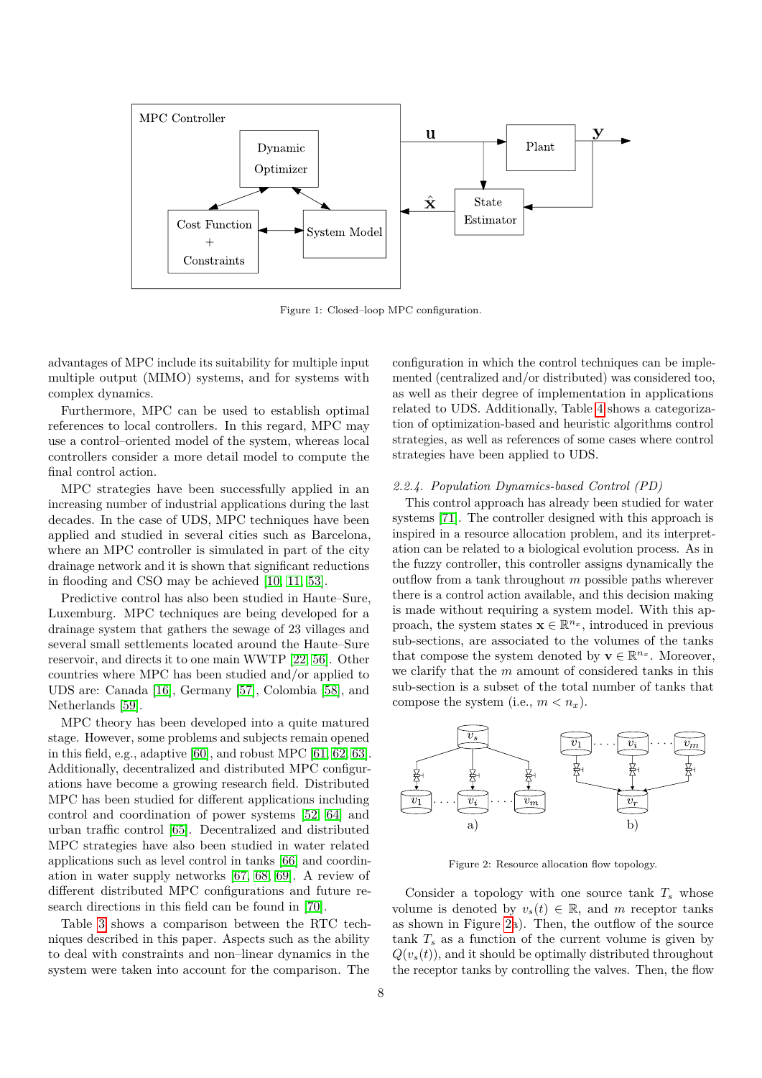

<span id="page-7-0"></span>Figure 1: Closed–loop MPC configuration.

advantages of MPC include its suitability for multiple input multiple output (MIMO) systems, and for systems with complex dynamics.

Furthermore, MPC can be used to establish optimal references to local controllers. In this regard, MPC may use a control–oriented model of the system, whereas local controllers consider a more detail model to compute the final control action.

MPC strategies have been successfully applied in an increasing number of industrial applications during the last decades. In the case of UDS, MPC techniques have been applied and studied in several cities such as Barcelona, where an MPC controller is simulated in part of the city drainage network and it is shown that significant reductions in flooding and CSO may be achieved [\[10,](#page-13-9) [11,](#page-13-10) [53\]](#page-14-36).

Predictive control has also been studied in Haute–Sure, Luxemburg. MPC techniques are being developed for a drainage system that gathers the sewage of 23 villages and several small settlements located around the Haute–Sure reservoir, and directs it to one main WWTP [\[22,](#page-14-5) [56\]](#page-15-0). Other countries where MPC has been studied and/or applied to UDS are: Canada [\[16\]](#page-13-15), Germany [\[57\]](#page-15-1), Colombia [\[58\]](#page-15-2), and Netherlands [\[59\]](#page-15-3).

MPC theory has been developed into a quite matured stage. However, some problems and subjects remain opened in this field, e.g., adaptive [\[60\]](#page-15-4), and robust MPC [\[61,](#page-15-5) [62,](#page-15-6) [63\]](#page-15-7). Additionally, decentralized and distributed MPC configurations have become a growing research field. Distributed MPC has been studied for different applications including control and coordination of power systems [\[52,](#page-14-35) [64\]](#page-15-8) and urban traffic control [\[65\]](#page-15-9). Decentralized and distributed MPC strategies have also been studied in water related applications such as level control in tanks [\[66\]](#page-15-10) and coordination in water supply networks [\[67,](#page-15-11) [68,](#page-15-12) [69\]](#page-15-13). A review of different distributed MPC configurations and future research directions in this field can be found in [\[70\]](#page-15-14).

Table [3](#page-9-1) shows a comparison between the RTC techniques described in this paper. Aspects such as the ability to deal with constraints and non–linear dynamics in the system were taken into account for the comparison. The

configuration in which the control techniques can be implemented (centralized and/or distributed) was considered too, as well as their degree of implementation in applications related to UDS. Additionally, Table [4](#page-9-2) shows a categorization of optimization-based and heuristic algorithms control strategies, as well as references of some cases where control strategies have been applied to UDS.

### *2.2.4. Population Dynamics-based Control (PD)*

This control approach has already been studied for water systems [\[71\]](#page-15-15). The controller designed with this approach is inspired in a resource allocation problem, and its interpretation can be related to a biological evolution process. As in the fuzzy controller, this controller assigns dynamically the outflow from a tank throughout *m* possible paths wherever there is a control action available, and this decision making is made without requiring a system model. With this approach, the system states  $\mathbf{x} \in \mathbb{R}^{n_x}$ , introduced in previous sub-sections, are associated to the volumes of the tanks that compose the system denoted by  $\mathbf{v} \in \mathbb{R}^{n_x}$ . Moreover, we clarify that the *m* amount of considered tanks in this sub-section is a subset of the total number of tanks that compose the system (i.e.,  $m < n_x$ ).



<span id="page-7-1"></span>Figure 2: Resource allocation flow topology.

Consider a topology with one source tank *T<sup>s</sup>* whose volume is denoted by  $v_s(t) \in \mathbb{R}$ , and *m* receptor tanks as shown in Figure [2a](#page-7-1)). Then, the outflow of the source tank  $T_s$  as a function of the current volume is given by  $Q(v_s(t))$ , and it should be optimally distributed throughout the receptor tanks by controlling the valves. Then, the flow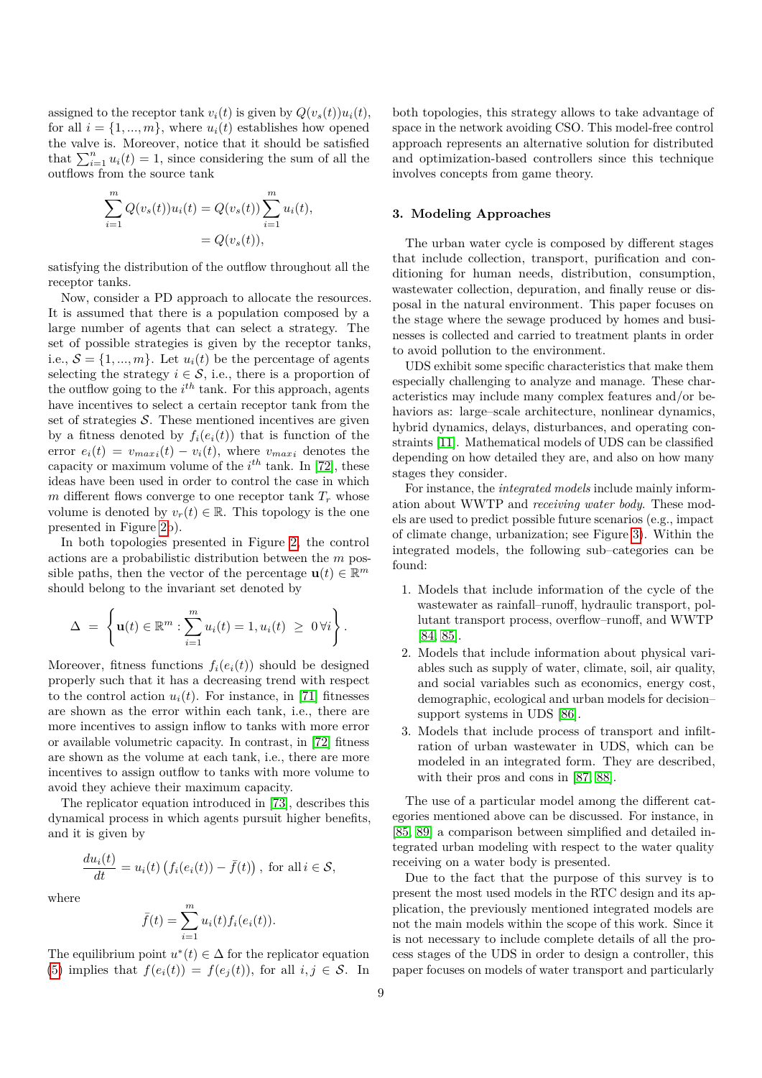assigned to the receptor tank  $v_i(t)$  is given by  $Q(v_s(t))u_i(t)$ , for all  $i = \{1, ..., m\}$ , where  $u_i(t)$  establishes how opened the valve is. Moreover, notice that it should be satisfied that  $\sum_{i=1}^{n} u_i(t) = 1$ , since considering the sum of all the outflows from the source tank

$$
\sum_{i=1}^{m} Q(v_s(t))u_i(t) = Q(v_s(t)) \sum_{i=1}^{m} u_i(t),
$$
  
=  $Q(v_s(t)),$ 

satisfying the distribution of the outflow throughout all the receptor tanks.

Now, consider a PD approach to allocate the resources. It is assumed that there is a population composed by a large number of agents that can select a strategy. The set of possible strategies is given by the receptor tanks, i.e.,  $S = \{1, ..., m\}$ . Let  $u_i(t)$  be the percentage of agents selecting the strategy  $i \in \mathcal{S}$ , i.e., there is a proportion of the outflow going to the *i th* tank. For this approach, agents have incentives to select a certain receptor tank from the set of strategies  $S$ . These mentioned incentives are given by a fitness denoted by  $f_i(e_i(t))$  that is function of the error  $e_i(t) = v_{maxi}(t) - v_i(t)$ , where  $v_{maxi}$  denotes the capacity or maximum volume of the  $i^{th}$  tank. In [\[72\]](#page-15-16), these ideas have been used in order to control the case in which  $m$  different flows converge to one receptor tank  $T_r$  whose volume is denoted by  $v_r(t) \in \mathbb{R}$ . This topology is the one presented in Figure [2b](#page-7-1)).

In both topologies presented in Figure [2,](#page-7-1) the control actions are a probabilistic distribution between the *m* possible paths, then the vector of the percentage  $\mathbf{u}(t) \in \mathbb{R}^m$ should belong to the invariant set denoted by

$$
\Delta = \left\{ \mathbf{u}(t) \in \mathbb{R}^m : \sum_{i=1}^m u_i(t) = 1, u_i(t) \geq 0 \,\forall i \right\}.
$$

Moreover, fitness functions  $f_i(e_i(t))$  should be designed properly such that it has a decreasing trend with respect to the control action  $u_i(t)$ . For instance, in [\[71\]](#page-15-15) fitnesses are shown as the error within each tank, i.e., there are more incentives to assign inflow to tanks with more error or available volumetric capacity. In contrast, in [\[72\]](#page-15-16) fitness are shown as the volume at each tank, i.e., there are more incentives to assign outflow to tanks with more volume to avoid they achieve their maximum capacity.

The replicator equation introduced in [\[73\]](#page-15-17), describes this dynamical process in which agents pursuit higher benefits, and it is given by

<span id="page-8-1"></span>
$$
\frac{du_i(t)}{dt} = u_i(t) \left( f_i(e_i(t)) - \bar{f}(t) \right), \text{ for all } i \in \mathcal{S},
$$

where

$$
\bar{f}(t) = \sum_{i=1}^{m} u_i(t) f_i(e_i(t)).
$$

The equilibrium point  $u^*(t) \in \Delta$  for the replicator equation [\(5\)](#page-8-1) implies that  $f(e_i(t)) = f(e_j(t))$ , for all  $i, j \in S$ . In

both topologies, this strategy allows to take advantage of space in the network avoiding CSO. This model-free control approach represents an alternative solution for distributed and optimization-based controllers since this technique involves concepts from game theory.

## <span id="page-8-0"></span>**3. Modeling Approaches**

The urban water cycle is composed by different stages that include collection, transport, purification and conditioning for human needs, distribution, consumption, wastewater collection, depuration, and finally reuse or disposal in the natural environment. This paper focuses on the stage where the sewage produced by homes and businesses is collected and carried to treatment plants in order to avoid pollution to the environment.

UDS exhibit some specific characteristics that make them especially challenging to analyze and manage. These characteristics may include many complex features and/or behaviors as: large–scale architecture, nonlinear dynamics, hybrid dynamics, delays, disturbances, and operating constraints [\[11\]](#page-13-10). Mathematical models of UDS can be classified depending on how detailed they are, and also on how many stages they consider.

For instance, the *integrated models* include mainly information about WWTP and *receiving water body*. These models are used to predict possible future scenarios (e.g., impact of climate change, urbanization; see Figure [3\)](#page-9-3). Within the integrated models, the following sub–categories can be found:

- 1. Models that include information of the cycle of the wastewater as rainfall–runoff, hydraulic transport, pollutant transport process, overflow–runoff, and WWTP [\[84,](#page-15-18) [85\]](#page-15-19).
- 2. Models that include information about physical variables such as supply of water, climate, soil, air quality, and social variables such as economics, energy cost, demographic, ecological and urban models for decision– support systems in UDS [\[86\]](#page-15-20).
- 3. Models that include process of transport and infiltration of urban wastewater in UDS, which can be modeled in an integrated form. They are described, with their pros and cons in [\[87,](#page-15-21) [88\]](#page-15-22).

The use of a particular model among the different categories mentioned above can be discussed. For instance, in [\[85,](#page-15-19) [89\]](#page-15-23) a comparison between simplified and detailed integrated urban modeling with respect to the water quality receiving on a water body is presented.

Due to the fact that the purpose of this survey is to present the most used models in the RTC design and its application, the previously mentioned integrated models are not the main models within the scope of this work. Since it is not necessary to include complete details of all the process stages of the UDS in order to design a controller, this paper focuses on models of water transport and particularly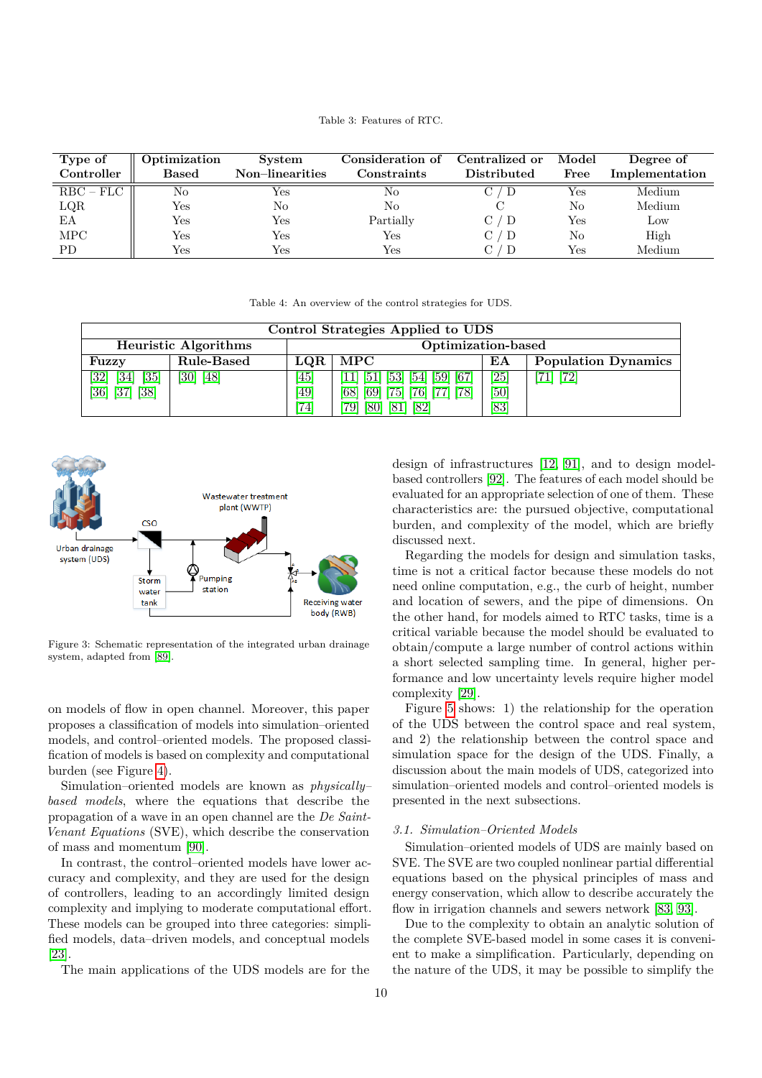<span id="page-9-1"></span>

| Type of       | Optimization | <b>System</b>   | Consideration of | Centralized or | Model | Degree of      |
|---------------|--------------|-----------------|------------------|----------------|-------|----------------|
| Controller    | <b>Based</b> | Non-linearities | Constraints      | Distributed    | Free  | Implementation |
| $RBC$ – $FLC$ | No           | Yes             | No               |                | Yes   | Medium         |
| LQR           | Yes          | No              | No               |                | No    | Medium         |
| ΕA            | Yes          | Yes             | Partially        | $\lq$ D<br>С., | Yes   | Low            |
| <b>MPC</b>    | Yes          | Yes             | Yes              | C.<br>΄D       | No    | High           |
| <b>PD</b>     | Yes          | Yes             | Yes              | $\mathcal{C}$  | Yes   | Medium         |

<span id="page-9-2"></span>Table 4: An overview of the control strategies for UDS.

| Control Strategies Applied to UDS               |                      |              |                                                                                              |                    |                            |  |  |
|-------------------------------------------------|----------------------|--------------|----------------------------------------------------------------------------------------------|--------------------|----------------------------|--|--|
|                                                 | Heuristic Algorithms |              | Optimization-based                                                                           |                    |                            |  |  |
| Fuzzy                                           | Rule-Based           | $_{\rm LOR}$ | MPC                                                                                          | ΕA                 | <b>Population Dynamics</b> |  |  |
| $\left[ 32\right]$<br>$\left[35\right]$<br>[34] | [30] [48]            | 451          | $\left[11\right]\left[51\right]\left[53\right]\left[54\right]\left[59\right]\left[67\right]$ | $\left[ 25\right]$ | $\left[ 72 \right]$<br> 71 |  |  |
| $[36]$ $[37]$<br>$[38]$                         |                      | [49]         | [68] [69] [75] [76] [77] [78]                                                                | [50]               |                            |  |  |
|                                                 |                      | [74]         | $[79]$ $[80]$ $[81]$ $[82]$                                                                  | [83]               |                            |  |  |



<span id="page-9-3"></span>Figure 3: Schematic representation of the integrated urban drainage system, adapted from [\[89\]](#page-15-23).

on models of flow in open channel. Moreover, this paper proposes a classification of models into simulation–oriented models, and control–oriented models. The proposed classification of models is based on complexity and computational burden (see Figure [4\)](#page-10-0).

Simulation–oriented models are known as *physically– based models*, where the equations that describe the propagation of a wave in an open channel are the *De Saint-Venant Equations* (SVE), which describe the conservation of mass and momentum [\[90\]](#page-15-34).

In contrast, the control–oriented models have lower accuracy and complexity, and they are used for the design of controllers, leading to an accordingly limited design complexity and implying to moderate computational effort. These models can be grouped into three categories: simplified models, data–driven models, and conceptual models [\[23\]](#page-14-6).

The main applications of the UDS models are for the

design of infrastructures [\[12,](#page-13-11) [91\]](#page-15-35), and to design modelbased controllers [\[92\]](#page-15-36). The features of each model should be evaluated for an appropriate selection of one of them. These characteristics are: the pursued objective, computational burden, and complexity of the model, which are briefly discussed next.

Regarding the models for design and simulation tasks, time is not a critical factor because these models do not need online computation, e.g., the curb of height, number and location of sewers, and the pipe of dimensions. On the other hand, for models aimed to RTC tasks, time is a critical variable because the model should be evaluated to obtain/compute a large number of control actions within a short selected sampling time. In general, higher performance and low uncertainty levels require higher model complexity [\[29\]](#page-14-14).

Figure [5](#page-10-1) shows: 1) the relationship for the operation of the UDS between the control space and real system, and 2) the relationship between the control space and simulation space for the design of the UDS. Finally, a discussion about the main models of UDS, categorized into simulation–oriented models and control–oriented models is presented in the next subsections.

#### <span id="page-9-0"></span>*3.1. Simulation–Oriented Models*

Simulation–oriented models of UDS are mainly based on SVE. The SVE are two coupled nonlinear partial differential equations based on the physical principles of mass and energy conservation, which allow to describe accurately the flow in irrigation channels and sewers network [\[83,](#page-15-33) [93\]](#page-15-37).

Due to the complexity to obtain an analytic solution of the complete SVE-based model in some cases it is convenient to make a simplification. Particularly, depending on the nature of the UDS, it may be possible to simplify the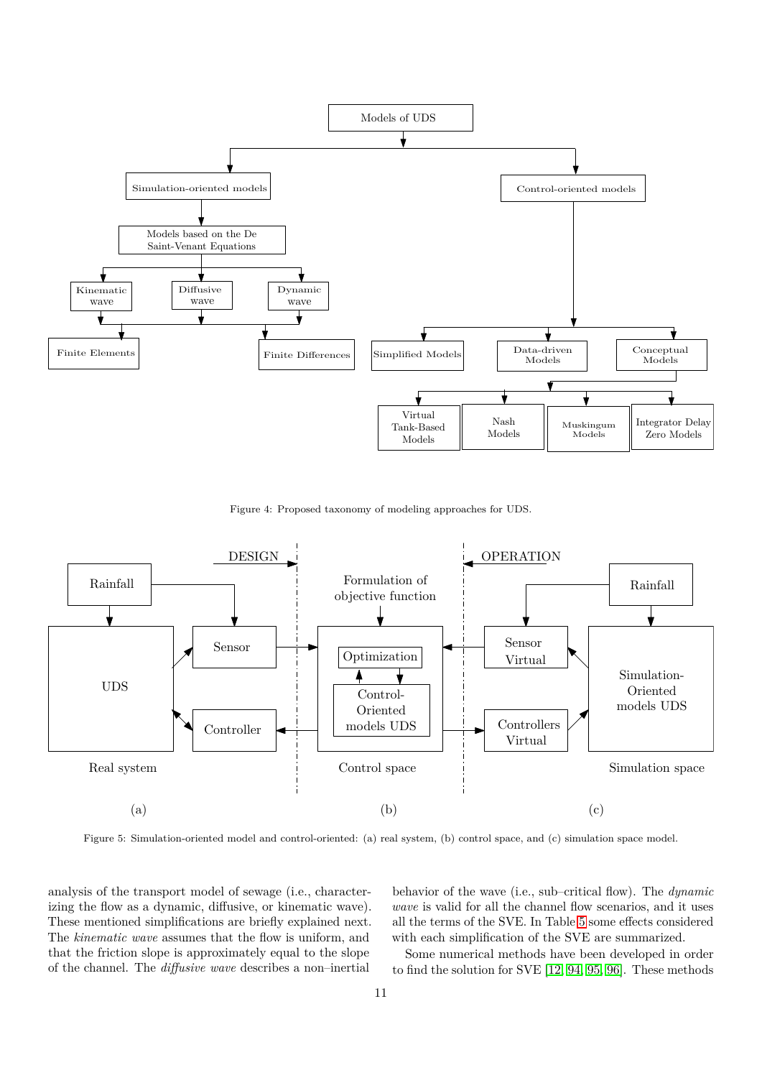

<span id="page-10-0"></span>Figure 4: Proposed taxonomy of modeling approaches for UDS.



<span id="page-10-1"></span>Figure 5: Simulation-oriented model and control-oriented: (a) real system, (b) control space, and (c) simulation space model.

analysis of the transport model of sewage (i.e., characterizing the flow as a dynamic, diffusive, or kinematic wave). These mentioned simplifications are briefly explained next. The *kinematic wave* assumes that the flow is uniform, and that the friction slope is approximately equal to the slope of the channel. The *diffusive wave* describes a non–inertial

behavior of the wave (i.e., sub–critical flow). The *dynamic wave* is valid for all the channel flow scenarios, and it uses all the terms of the SVE. In Table [5](#page-12-1) some effects considered with each simplification of the SVE are summarized.

Some numerical methods have been developed in order to find the solution for SVE [\[12,](#page-13-11) [94,](#page-16-0) [95,](#page-16-1) [96\]](#page-16-2). These methods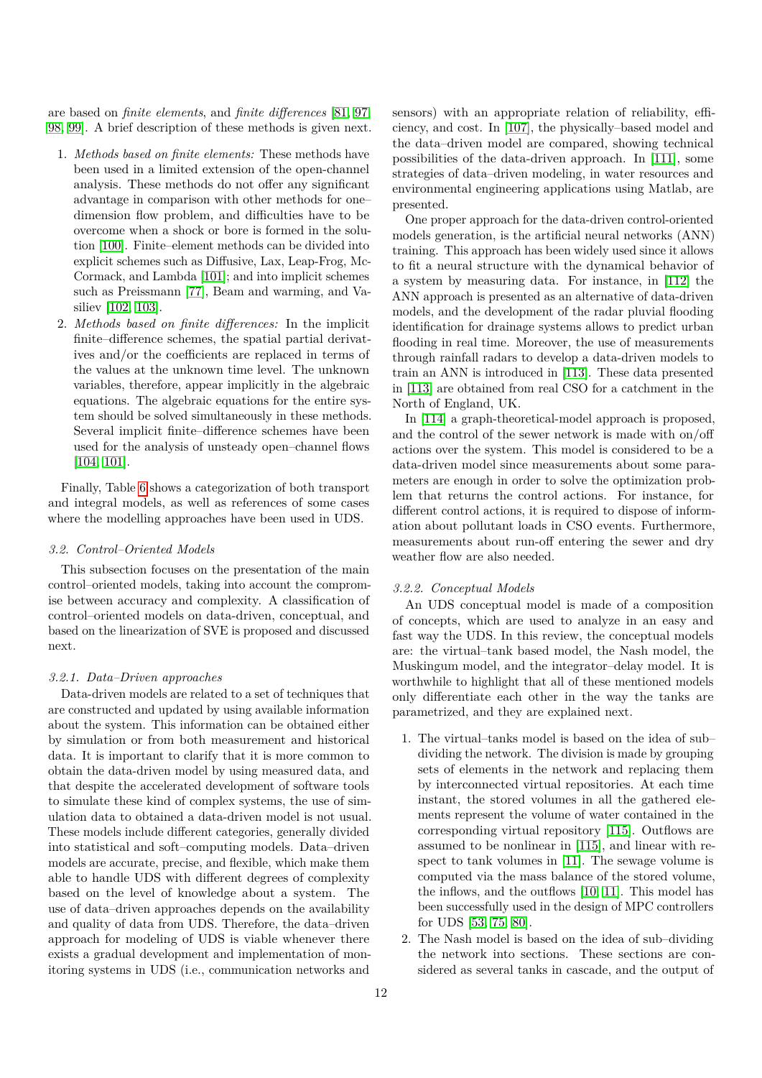are based on *finite elements*, and *finite differences* [\[81,](#page-15-31) [97,](#page-16-3) [98,](#page-16-4) [99\]](#page-16-5). A brief description of these methods is given next.

- 1. *Methods based on finite elements:* These methods have been used in a limited extension of the open-channel analysis. These methods do not offer any significant advantage in comparison with other methods for one– dimension flow problem, and difficulties have to be overcome when a shock or bore is formed in the solution [\[100\]](#page-16-6). Finite–element methods can be divided into explicit schemes such as Diffusive, Lax, Leap-Frog, Mc-Cormack, and Lambda [\[101\]](#page-16-7); and into implicit schemes such as Preissmann [\[77\]](#page-15-27), Beam and warming, and Vasiliev [\[102,](#page-16-8) [103\]](#page-16-9).
- 2. *Methods based on finite differences:* In the implicit finite–difference schemes, the spatial partial derivatives and/or the coefficients are replaced in terms of the values at the unknown time level. The unknown variables, therefore, appear implicitly in the algebraic equations. The algebraic equations for the entire system should be solved simultaneously in these methods. Several implicit finite–difference schemes have been used for the analysis of unsteady open–channel flows [\[104,](#page-16-10) [101\]](#page-16-7).

Finally, Table [6](#page-12-2) shows a categorization of both transport and integral models, as well as references of some cases where the modelling approaches have been used in UDS.

## <span id="page-11-0"></span>*3.2. Control–Oriented Models*

This subsection focuses on the presentation of the main control–oriented models, taking into account the compromise between accuracy and complexity. A classification of control–oriented models on data-driven, conceptual, and based on the linearization of SVE is proposed and discussed next.

#### *3.2.1. Data–Driven approaches*

Data-driven models are related to a set of techniques that are constructed and updated by using available information about the system. This information can be obtained either by simulation or from both measurement and historical data. It is important to clarify that it is more common to obtain the data-driven model by using measured data, and that despite the accelerated development of software tools to simulate these kind of complex systems, the use of simulation data to obtained a data-driven model is not usual. These models include different categories, generally divided into statistical and soft–computing models. Data–driven models are accurate, precise, and flexible, which make them able to handle UDS with different degrees of complexity based on the level of knowledge about a system. The use of data–driven approaches depends on the availability and quality of data from UDS. Therefore, the data–driven approach for modeling of UDS is viable whenever there exists a gradual development and implementation of monitoring systems in UDS (i.e., communication networks and

sensors) with an appropriate relation of reliability, efficiency, and cost. In [\[107\]](#page-16-11), the physically–based model and the data–driven model are compared, showing technical possibilities of the data-driven approach. In [\[111\]](#page-16-12), some strategies of data–driven modeling, in water resources and environmental engineering applications using Matlab, are presented.

One proper approach for the data-driven control-oriented models generation, is the artificial neural networks (ANN) training. This approach has been widely used since it allows to fit a neural structure with the dynamical behavior of a system by measuring data. For instance, in [\[112\]](#page-16-13) the ANN approach is presented as an alternative of data-driven models, and the development of the radar pluvial flooding identification for drainage systems allows to predict urban flooding in real time. Moreover, the use of measurements through rainfall radars to develop a data-driven models to train an ANN is introduced in [\[113\]](#page-16-14). These data presented in [\[113\]](#page-16-14) are obtained from real CSO for a catchment in the North of England, UK.

In [\[114\]](#page-16-15) a graph-theoretical-model approach is proposed, and the control of the sewer network is made with on/off actions over the system. This model is considered to be a data-driven model since measurements about some parameters are enough in order to solve the optimization problem that returns the control actions. For instance, for different control actions, it is required to dispose of information about pollutant loads in CSO events. Furthermore, measurements about run-off entering the sewer and dry weather flow are also needed.

#### *3.2.2. Conceptual Models*

An UDS conceptual model is made of a composition of concepts, which are used to analyze in an easy and fast way the UDS. In this review, the conceptual models are: the virtual–tank based model, the Nash model, the Muskingum model, and the integrator–delay model. It is worthwhile to highlight that all of these mentioned models only differentiate each other in the way the tanks are parametrized, and they are explained next.

- 1. The virtual–tanks model is based on the idea of sub– dividing the network. The division is made by grouping sets of elements in the network and replacing them by interconnected virtual repositories. At each time instant, the stored volumes in all the gathered elements represent the volume of water contained in the corresponding virtual repository [\[115\]](#page-16-16). Outflows are assumed to be nonlinear in [\[115\]](#page-16-16), and linear with respect to tank volumes in [\[11\]](#page-13-10). The sewage volume is computed via the mass balance of the stored volume, the inflows, and the outflows [\[10,](#page-13-9) [11\]](#page-13-10). This model has been successfully used in the design of MPC controllers for UDS [\[53,](#page-14-36) [75,](#page-15-25) [80\]](#page-15-30).
- 2. The Nash model is based on the idea of sub–dividing the network into sections. These sections are considered as several tanks in cascade, and the output of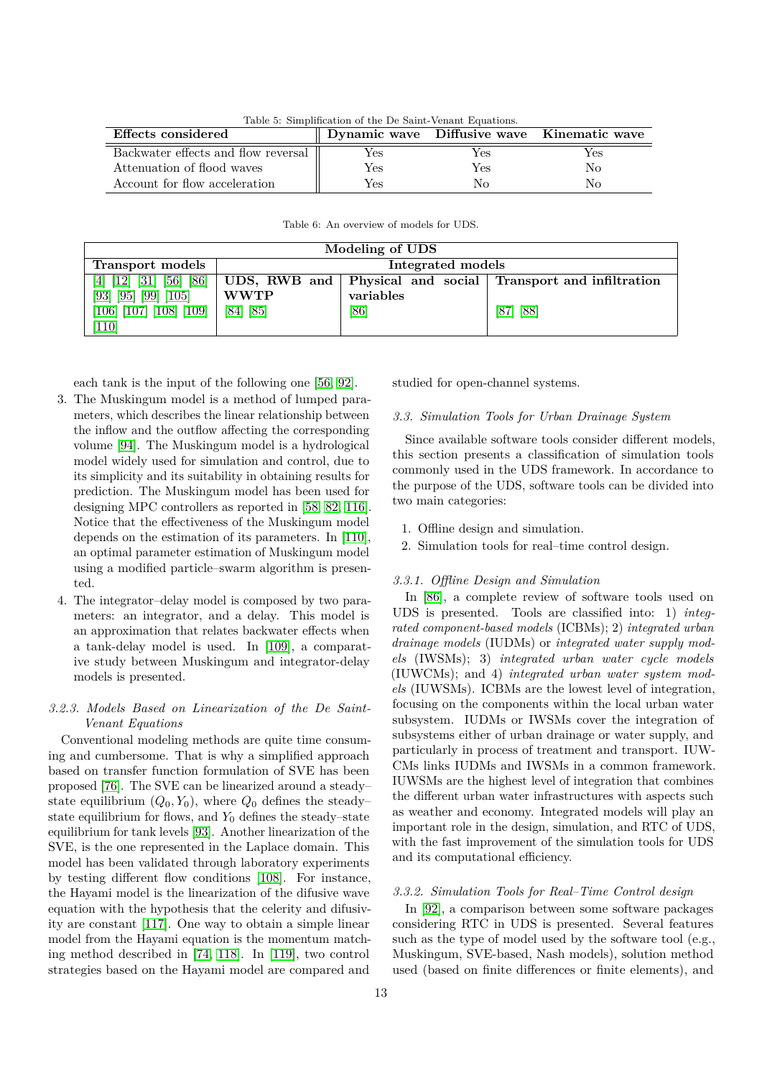| Effects considered                  |     |     | Dynamic wave Diffusive wave Kinematic wave |
|-------------------------------------|-----|-----|--------------------------------------------|
| Backwater effects and flow reversal | Yes | Yes | Yes                                        |
| Attenuation of flood waves          | Yes | Yes | Nο                                         |
| Account for flow acceleration       | Yes | Nο  | Nο                                         |

<span id="page-12-1"></span>Table 5: Simplification of the De Saint-Venant Equations.

<span id="page-12-2"></span>

|  | Table 6: An overview of models for UDS. |  |  |  |
|--|-----------------------------------------|--|--|--|
|  |                                         |  |  |  |

| Modeling of UDS                                                       |                                                                 |                    |           |  |  |  |  |
|-----------------------------------------------------------------------|-----------------------------------------------------------------|--------------------|-----------|--|--|--|--|
| Transport models                                                      | Integrated models                                               |                    |           |  |  |  |  |
| $[56]$ $[86]$<br>- 31<br>4 12                                         | UDS, RWB and   Physical and social   Transport and infiltration |                    |           |  |  |  |  |
| $[93]$ $[95]$ $[99]$ $[105]$                                          | <b>WWTP</b>                                                     | variables          |           |  |  |  |  |
| $\left[106\right] \left[107\right] \left[108\right] \left[109\right]$ | [84] [85]                                                       | $\left[ 86\right]$ | [87] [88] |  |  |  |  |
| [110]                                                                 |                                                                 |                    |           |  |  |  |  |

each tank is the input of the following one [\[56,](#page-15-0) [92\]](#page-15-36).

- 3. The Muskingum model is a method of lumped parameters, which describes the linear relationship between the inflow and the outflow affecting the corresponding volume [\[94\]](#page-16-0). The Muskingum model is a hydrological model widely used for simulation and control, due to its simplicity and its suitability in obtaining results for prediction. The Muskingum model has been used for designing MPC controllers as reported in [\[58,](#page-15-2) [82,](#page-15-32) [116\]](#page-16-22). Notice that the effectiveness of the Muskingum model depends on the estimation of its parameters. In [\[110\]](#page-16-21), an optimal parameter estimation of Muskingum model using a modified particle–swarm algorithm is presented.
- 4. The integrator–delay model is composed by two parameters: an integrator, and a delay. This model is an approximation that relates backwater effects when a tank-delay model is used. In [\[109\]](#page-16-20), a comparative study between Muskingum and integrator-delay models is presented.

## *3.2.3. Models Based on Linearization of the De Saint-Venant Equations*

Conventional modeling methods are quite time consuming and cumbersome. That is why a simplified approach based on transfer function formulation of SVE has been proposed [\[76\]](#page-15-26). The SVE can be linearized around a steady– state equilibrium  $(Q_0, Y_0)$ , where  $Q_0$  defines the steady– state equilibrium for flows, and  $Y_0$  defines the steady–state equilibrium for tank levels [\[93\]](#page-15-37). Another linearization of the SVE, is the one represented in the Laplace domain. This model has been validated through laboratory experiments by testing different flow conditions [\[108\]](#page-16-19). For instance, the Hayami model is the linearization of the difusive wave equation with the hypothesis that the celerity and difusivity are constant [\[117\]](#page-16-23). One way to obtain a simple linear model from the Hayami equation is the momentum matching method described in [\[74,](#page-15-24) [118\]](#page-16-24). In [\[119\]](#page-16-25), two control strategies based on the Hayami model are compared and

studied for open-channel systems.

## <span id="page-12-0"></span>*3.3. Simulation Tools for Urban Drainage System*

Since available software tools consider different models, this section presents a classification of simulation tools commonly used in the UDS framework. In accordance to the purpose of the UDS, software tools can be divided into two main categories:

- 1. Offline design and simulation.
- 2. Simulation tools for real–time control design.

#### *3.3.1. Offline Design and Simulation*

In [\[86\]](#page-15-20), a complete review of software tools used on UDS is presented. Tools are classified into: 1) *integrated component-based models* (ICBMs); 2) *integrated urban drainage models* (IUDMs) or *integrated water supply models* (IWSMs); 3) *integrated urban water cycle models* (IUWCMs); and 4) *integrated urban water system models* (IUWSMs). ICBMs are the lowest level of integration, focusing on the components within the local urban water subsystem. IUDMs or IWSMs cover the integration of subsystems either of urban drainage or water supply, and particularly in process of treatment and transport. IUW-CMs links IUDMs and IWSMs in a common framework. IUWSMs are the highest level of integration that combines the different urban water infrastructures with aspects such as weather and economy. Integrated models will play an important role in the design, simulation, and RTC of UDS, with the fast improvement of the simulation tools for UDS and its computational efficiency.

## *3.3.2. Simulation Tools for Real–Time Control design*

In [\[92\]](#page-15-36), a comparison between some software packages considering RTC in UDS is presented. Several features such as the type of model used by the software tool (e.g., Muskingum, SVE-based, Nash models), solution method used (based on finite differences or finite elements), and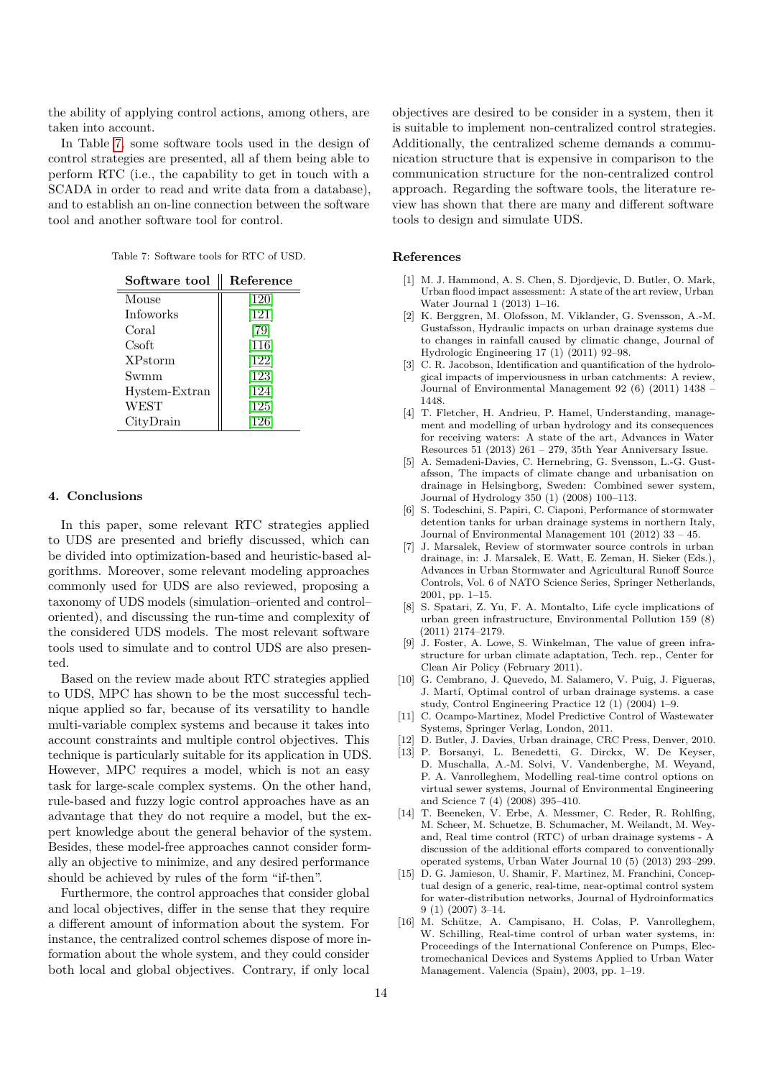the ability of applying control actions, among others, are taken into account.

In Table [7,](#page-13-17) some software tools used in the design of control strategies are presented, all af them being able to perform RTC (i.e., the capability to get in touch with a SCADA in order to read and write data from a database), and to establish an on-line connection between the software tool and another software tool for control.

<span id="page-13-17"></span>Table 7: Software tools for RTC of USD.

| Mouse            | $[120]$        |
|------------------|----------------|
| <b>Infoworks</b> | $[121]$        |
| Coral            | $[79]$         |
| $\mathrm{Csoft}$ | $[116]$        |
| <b>XPstorm</b>   | $[122]$        |
| Swmm             | $[123]$        |
| Hystem-Extran    | $[124]$        |
| <b>WEST</b>      | $[125]$        |
| CityDrain        | <sup>126</sup> |

**Software tool Reference**

## <span id="page-13-16"></span>**4. Conclusions**

In this paper, some relevant RTC strategies applied to UDS are presented and briefly discussed, which can be divided into optimization-based and heuristic-based algorithms. Moreover, some relevant modeling approaches commonly used for UDS are also reviewed, proposing a taxonomy of UDS models (simulation–oriented and control– oriented), and discussing the run-time and complexity of the considered UDS models. The most relevant software tools used to simulate and to control UDS are also presented.

Based on the review made about RTC strategies applied to UDS, MPC has shown to be the most successful technique applied so far, because of its versatility to handle multi-variable complex systems and because it takes into account constraints and multiple control objectives. This technique is particularly suitable for its application in UDS. However, MPC requires a model, which is not an easy task for large-scale complex systems. On the other hand, rule-based and fuzzy logic control approaches have as an advantage that they do not require a model, but the expert knowledge about the general behavior of the system. Besides, these model-free approaches cannot consider formally an objective to minimize, and any desired performance should be achieved by rules of the form "if-then".

Furthermore, the control approaches that consider global and local objectives, differ in the sense that they require a different amount of information about the system. For instance, the centralized control schemes dispose of more information about the whole system, and they could consider both local and global objectives. Contrary, if only local

objectives are desired to be consider in a system, then it is suitable to implement non-centralized control strategies. Additionally, the centralized scheme demands a communication structure that is expensive in comparison to the communication structure for the non-centralized control approach. Regarding the software tools, the literature review has shown that there are many and different software tools to design and simulate UDS.

## **References**

- <span id="page-13-0"></span>[1] M. J. Hammond, A. S. Chen, S. Djordjevic, D. Butler, O. Mark, Urban flood impact assessment: A state of the art review, Urban Water Journal 1 (2013) 1–16.
- <span id="page-13-1"></span>[2] K. Berggren, M. Olofsson, M. Viklander, G. Svensson, A.-M. Gustafsson, Hydraulic impacts on urban drainage systems due to changes in rainfall caused by climatic change, Journal of Hydrologic Engineering 17 (1) (2011) 92–98.
- <span id="page-13-2"></span>[3] C. R. Jacobson, Identification and quantification of the hydrological impacts of imperviousness in urban catchments: A review, Journal of Environmental Management 92 (6) (2011) 1438 – 1448.
- <span id="page-13-3"></span>[4] T. Fletcher, H. Andrieu, P. Hamel, Understanding, management and modelling of urban hydrology and its consequences for receiving waters: A state of the art, Advances in Water Resources 51 (2013) 261 – 279, 35th Year Anniversary Issue.
- <span id="page-13-4"></span>[5] A. Semadeni-Davies, C. Hernebring, G. Svensson, L.-G. Gustafsson, The impacts of climate change and urbanisation on drainage in Helsingborg, Sweden: Combined sewer system, Journal of Hydrology 350 (1) (2008) 100–113.
- <span id="page-13-5"></span>[6] S. Todeschini, S. Papiri, C. Ciaponi, Performance of stormwater detention tanks for urban drainage systems in northern Italy, Journal of Environmental Management 101 (2012) 33 – 45.
- <span id="page-13-6"></span>[7] J. Marsalek, Review of stormwater source controls in urban drainage, in: J. Marsalek, E. Watt, E. Zeman, H. Sieker (Eds.), Advances in Urban Stormwater and Agricultural Runoff Source Controls, Vol. 6 of NATO Science Series, Springer Netherlands, 2001, pp. 1–15.
- <span id="page-13-7"></span>[8] S. Spatari, Z. Yu, F. A. Montalto, Life cycle implications of urban green infrastructure, Environmental Pollution 159 (8) (2011) 2174–2179.
- <span id="page-13-8"></span>[9] J. Foster, A. Lowe, S. Winkelman, The value of green infrastructure for urban climate adaptation, Tech. rep., Center for Clean Air Policy (February 2011).
- <span id="page-13-9"></span>[10] G. Cembrano, J. Quevedo, M. Salamero, V. Puig, J. Figueras, J. Martí, Optimal control of urban drainage systems. a case study, Control Engineering Practice 12 (1) (2004) 1–9.
- <span id="page-13-10"></span>[11] C. Ocampo-Martinez, Model Predictive Control of Wastewater Systems, Springer Verlag, London, 2011.
- <span id="page-13-11"></span>[12] D. Butler, J. Davies, Urban drainage, CRC Press, Denver, 2010.
- <span id="page-13-12"></span>[13] P. Borsanyi, L. Benedetti, G. Dirckx, W. De Keyser, D. Muschalla, A.-M. Solvi, V. Vandenberghe, M. Weyand, P. A. Vanrolleghem, Modelling real-time control options on virtual sewer systems, Journal of Environmental Engineering and Science 7 (4) (2008) 395–410.
- <span id="page-13-13"></span>[14] T. Beeneken, V. Erbe, A. Messmer, C. Reder, R. Rohlfing, M. Scheer, M. Schuetze, B. Schumacher, M. Weilandt, M. Weyand, Real time control (RTC) of urban drainage systems - A discussion of the additional efforts compared to conventionally operated systems, Urban Water Journal 10 (5) (2013) 293–299.
- <span id="page-13-14"></span>[15] D. G. Jamieson, U. Shamir, F. Martinez, M. Franchini, Conceptual design of a generic, real-time, near-optimal control system for water-distribution networks, Journal of Hydroinformatics 9 (1) (2007) 3–14.
- <span id="page-13-15"></span>[16] M. Schütze, A. Campisano, H. Colas, P. Vanrolleghem, W. Schilling, Real-time control of urban water systems, in: Proceedings of the International Conference on Pumps, Electromechanical Devices and Systems Applied to Urban Water Management. Valencia (Spain), 2003, pp. 1–19.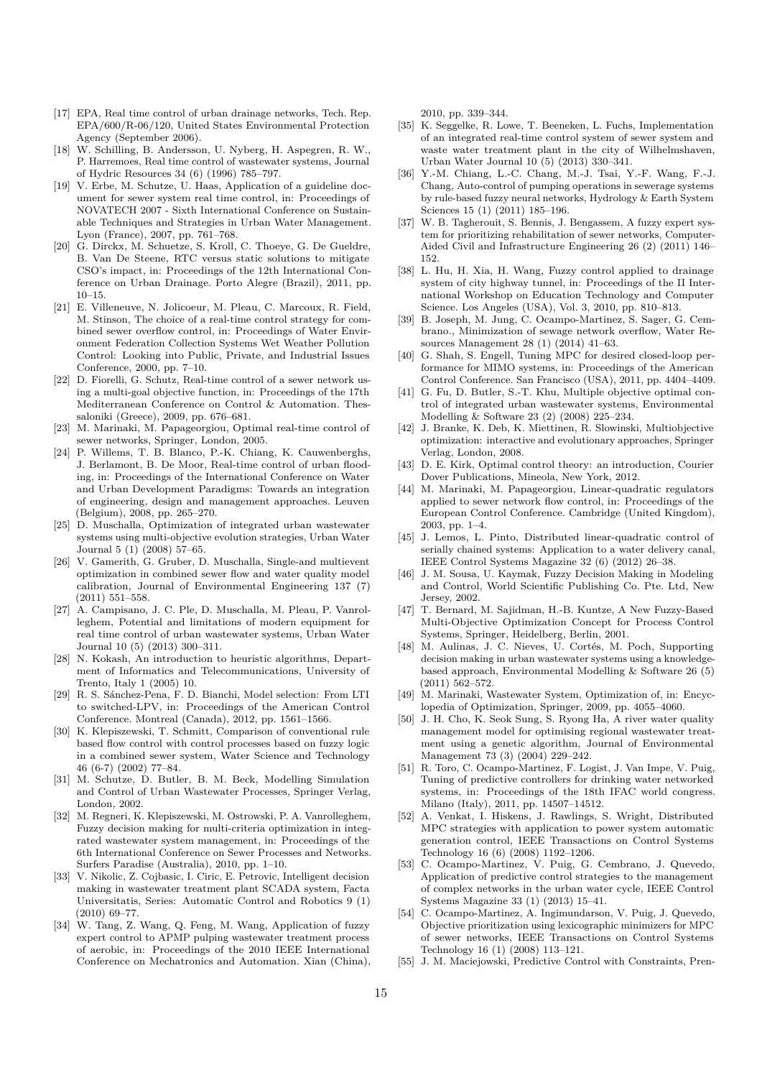- <span id="page-14-0"></span>[17] EPA, Real time control of urban drainage networks, Tech. Rep. EPA/600/R-06/120, United States Environmental Protection Agency (September 2006).
- <span id="page-14-1"></span>[18] W. Schilling, B. Andersson, U. Nyberg, H. Aspegren, R. W., P. Harremoes, Real time control of wastewater systems, Journal of Hydric Resources 34 (6) (1996) 785–797.
- <span id="page-14-2"></span>[19] V. Erbe, M. Schutze, U. Haas, Application of a guideline document for sewer system real time control, in: Proceedings of NOVATECH 2007 - Sixth International Conference on Sustainable Techniques and Strategies in Urban Water Management. Lyon (France), 2007, pp. 761–768.
- <span id="page-14-3"></span>[20] G. Dirckx, M. Schuetze, S. Kroll, C. Thoeye, G. De Gueldre, B. Van De Steene, RTC versus static solutions to mitigate CSO's impact, in: Proceedings of the 12th International Conference on Urban Drainage. Porto Alegre (Brazil), 2011, pp. 10–15.
- <span id="page-14-4"></span>[21] E. Villeneuve, N. Jolicoeur, M. Pleau, C. Marcoux, R. Field, M. Stinson, The choice of a real-time control strategy for combined sewer overflow control, in: Proceedings of Water Environment Federation Collection Systems Wet Weather Pollution Control: Looking into Public, Private, and Industrial Issues Conference, 2000, pp. 7–10.
- <span id="page-14-5"></span>[22] D. Fiorelli, G. Schutz, Real-time control of a sewer network using a multi-goal objective function, in: Proceedings of the 17th Mediterranean Conference on Control & Automation. Thessaloniki (Greece), 2009, pp. 676–681.
- <span id="page-14-6"></span>[23] M. Marinaki, M. Papageorgiou, Optimal real-time control of sewer networks, Springer, London, 2005.
- <span id="page-14-7"></span>[24] P. Willems, T. B. Blanco, P.-K. Chiang, K. Cauwenberghs, J. Berlamont, B. De Moor, Real-time control of urban flooding, in: Proceedings of the International Conference on Water and Urban Development Paradigms: Towards an integration of engineering, design and management approaches. Leuven (Belgium), 2008, pp. 265–270.
- <span id="page-14-8"></span>[25] D. Muschalla, Optimization of integrated urban wastewater systems using multi-objective evolution strategies, Urban Water Journal 5 (1) (2008) 57–65.
- <span id="page-14-9"></span>[26] V. Gamerith, G. Gruber, D. Muschalla, Single-and multievent optimization in combined sewer flow and water quality model calibration, Journal of Environmental Engineering 137 (7) (2011) 551–558.
- <span id="page-14-10"></span>[27] A. Campisano, J. C. Ple, D. Muschalla, M. Pleau, P. Vanrolleghem, Potential and limitations of modern equipment for real time control of urban wastewater systems, Urban Water Journal 10 (5) (2013) 300–311.
- <span id="page-14-11"></span>[28] N. Kokash, An introduction to heuristic algorithms, Department of Informatics and Telecommunications, University of Trento, Italy 1 (2005) 10.
- <span id="page-14-14"></span>[29] R. S. Sánchez-Pena, F. D. Bianchi, Model selection: From LTI to switched-LPV, in: Proceedings of the American Control Conference. Montreal (Canada), 2012, pp. 1561–1566.
- <span id="page-14-12"></span>[30] K. Klepiszewski, T. Schmitt, Comparison of conventional rule based flow control with control processes based on fuzzy logic in a combined sewer system, Water Science and Technology 46 (6-7) (2002) 77–84.
- <span id="page-14-13"></span>[31] M. Schutze, D. Butler, B. M. Beck, Modelling Simulation and Control of Urban Wastewater Processes, Springer Verlag, London, 2002.
- <span id="page-14-15"></span>[32] M. Regneri, K. Klepiszewski, M. Ostrowski, P. A. Vanrolleghem, Fuzzy decision making for multi-criteria optimization in integrated wastewater system management, in: Proceedings of the 6th International Conference on Sewer Processes and Networks. Surfers Paradise (Australia), 2010, pp. 1–10.
- <span id="page-14-16"></span>[33] V. Nikolic, Z. Cojbasic, I. Ciric, E. Petrovic, Intelligent decision making in wastewater treatment plant SCADA system, Facta Universitatis, Series: Automatic Control and Robotics 9 (1) (2010) 69–77.
- <span id="page-14-17"></span>[34] W. Tang, Z. Wang, Q. Feng, M. Wang, Application of fuzzy expert control to APMP pulping wastewater treatment process of aerobic, in: Proceedings of the 2010 IEEE International Conference on Mechatronics and Automation. Xian (China),

2010, pp. 339–344.

- <span id="page-14-18"></span>[35] K. Seggelke, R. Lowe, T. Beeneken, L. Fuchs, Implementation of an integrated real-time control system of sewer system and waste water treatment plant in the city of Wilhelmshaven, Urban Water Journal 10 (5) (2013) 330–341.
- <span id="page-14-19"></span>[36] Y.-M. Chiang, L.-C. Chang, M.-J. Tsai, Y.-F. Wang, F.-J. Chang, Auto-control of pumping operations in sewerage systems by rule-based fuzzy neural networks, Hydrology & Earth System Sciences 15 (1) (2011) 185–196.
- <span id="page-14-20"></span>[37] W. B. Tagherouit, S. Bennis, J. Bengassem, A fuzzy expert system for prioritizing rehabilitation of sewer networks, Computer-Aided Civil and Infrastructure Engineering 26 (2) (2011) 146– 152.
- <span id="page-14-21"></span>[38] L. Hu, H. Xia, H. Wang, Fuzzy control applied to drainage system of city highway tunnel, in: Proceedings of the II International Workshop on Education Technology and Computer Science. Los Angeles (USA), Vol. 3, 2010, pp. 810–813.
- <span id="page-14-22"></span>[39] B. Joseph, M. Jung, C. Ocampo-Martinez, S. Sager, G. Cembrano., Minimization of sewage network overflow, Water Resources Management 28 (1) (2014) 41–63.
- <span id="page-14-23"></span>[40] G. Shah, S. Engell, Tuning MPC for desired closed-loop performance for MIMO systems, in: Proceedings of the American Control Conference. San Francisco (USA), 2011, pp. 4404–4409.
- <span id="page-14-24"></span>[41] G. Fu, D. Butler, S.-T. Khu, Multiple objective optimal control of integrated urban wastewater systems, Environmental Modelling & Software 23 (2) (2008) 225–234.
- <span id="page-14-25"></span>[42] J. Branke, K. Deb, K. Miettinen, R. Slowinski, Multiobjective optimization: interactive and evolutionary approaches, Springer Verlag, London, 2008.
- <span id="page-14-26"></span>[43] D. E. Kirk, Optimal control theory: an introduction, Courier Dover Publications, Mineola, New York, 2012.
- <span id="page-14-27"></span>[44] M. Marinaki, M. Papageorgiou, Linear-quadratic regulators applied to sewer network flow control, in: Proceedings of the European Control Conference. Cambridge (United Kingdom), 2003, pp. 1–4.
- <span id="page-14-28"></span>[45] J. Lemos, L. Pinto, Distributed linear-quadratic control of serially chained systems: Application to a water delivery canal, IEEE Control Systems Magazine 32 (6) (2012) 26–38.
- <span id="page-14-29"></span>[46] J. M. Sousa, U. Kaymak, Fuzzy Decision Making in Modeling and Control, World Scientific Publishing Co. Pte. Ltd, New Jersey, 2002.
- <span id="page-14-30"></span>[47] T. Bernard, M. Sajidman, H.-B. Kuntze, A New Fuzzy-Based Multi-Objective Optimization Concept for Process Control Systems, Springer, Heidelberg, Berlin, 2001.
- <span id="page-14-31"></span>[48] M. Aulinas, J. C. Nieves, U. Cortés, M. Poch, Supporting decision making in urban wastewater systems using a knowledgebased approach, Environmental Modelling & Software 26 (5) (2011) 562–572.
- <span id="page-14-32"></span>[49] M. Marinaki, Wastewater System, Optimization of, in: Encyclopedia of Optimization, Springer, 2009, pp. 4055–4060.
- <span id="page-14-33"></span>[50] J. H. Cho, K. Seok Sung, S. Ryong Ha, A river water quality management model for optimising regional wastewater treatment using a genetic algorithm, Journal of Environmental Management 73 (3) (2004) 229–242.
- <span id="page-14-34"></span>[51] R. Toro, C. Ocampo-Martinez, F. Logist, J. Van Impe, V. Puig, Tuning of predictive controllers for drinking water networked systems, in: Proceedings of the 18th IFAC world congress. Milano (Italy), 2011, pp. 14507–14512.
- <span id="page-14-35"></span>[52] A. Venkat, I. Hiskens, J. Rawlings, S. Wright, Distributed MPC strategies with application to power system automatic generation control, IEEE Transactions on Control Systems Technology 16 (6) (2008) 1192–1206.
- <span id="page-14-36"></span>[53] C. Ocampo-Martinez, V. Puig, G. Cembrano, J. Quevedo, Application of predictive control strategies to the management of complex networks in the urban water cycle, IEEE Control Systems Magazine 33 (1) (2013) 15–41.
- <span id="page-14-37"></span>[54] C. Ocampo-Martinez, A. Ingimundarson, V. Puig, J. Quevedo, Objective prioritization using lexicographic minimizers for MPC of sewer networks, IEEE Transactions on Control Systems Technology 16 (1) (2008) 113–121.
- <span id="page-14-38"></span>[55] J. M. Maciejowski, Predictive Control with Constraints, Pren-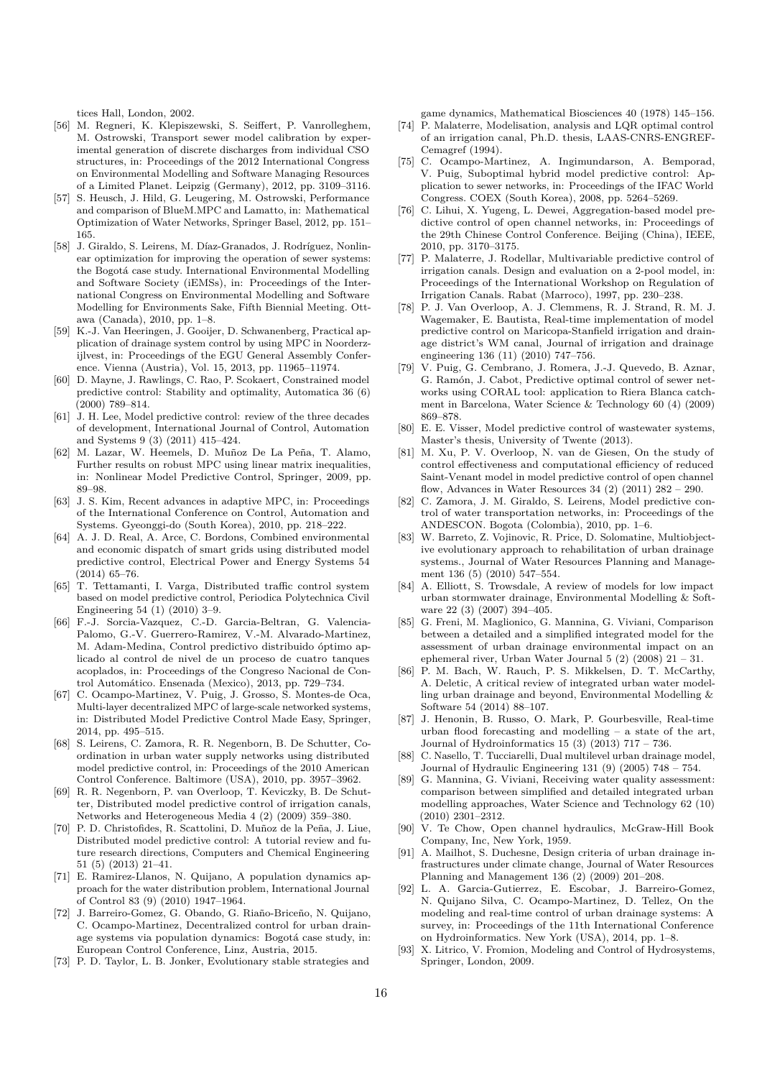tices Hall, London, 2002.

- <span id="page-15-0"></span>[56] M. Regneri, K. Klepiszewski, S. Seiffert, P. Vanrolleghem, M. Ostrowski, Transport sewer model calibration by experimental generation of discrete discharges from individual CSO structures, in: Proceedings of the 2012 International Congress on Environmental Modelling and Software Managing Resources of a Limited Planet. Leipzig (Germany), 2012, pp. 3109–3116.
- <span id="page-15-1"></span>[57] S. Heusch, J. Hild, G. Leugering, M. Ostrowski, Performance and comparison of BlueM.MPC and Lamatto, in: Mathematical Optimization of Water Networks, Springer Basel, 2012, pp. 151– 165.
- <span id="page-15-2"></span>[58] J. Giraldo, S. Leirens, M. Díaz-Granados, J. Rodríguez, Nonlinear optimization for improving the operation of sewer systems: the Bogotá case study. International Environmental Modelling and Software Society (iEMSs), in: Proceedings of the International Congress on Environmental Modelling and Software Modelling for Environments Sake, Fifth Biennial Meeting. Ottawa (Canada), 2010, pp. 1–8.
- <span id="page-15-3"></span>[59] K.-J. Van Heeringen, J. Gooijer, D. Schwanenberg, Practical application of drainage system control by using MPC in Noorderzijlvest, in: Proceedings of the EGU General Assembly Conference. Vienna (Austria), Vol. 15, 2013, pp. 11965–11974.
- <span id="page-15-4"></span>[60] D. Mayne, J. Rawlings, C. Rao, P. Scokaert, Constrained model predictive control: Stability and optimality, Automatica 36 (6) (2000) 789–814.
- <span id="page-15-5"></span>[61] J. H. Lee, Model predictive control: review of the three decades of development, International Journal of Control, Automation and Systems 9 (3) (2011) 415–424.
- <span id="page-15-6"></span>[62] M. Lazar, W. Heemels, D. Muñoz De La Peña, T. Alamo, Further results on robust MPC using linear matrix inequalities, in: Nonlinear Model Predictive Control, Springer, 2009, pp. 89–98.
- <span id="page-15-7"></span>[63] J. S. Kim, Recent advances in adaptive MPC, in: Proceedings of the International Conference on Control, Automation and Systems. Gyeonggi-do (South Korea), 2010, pp. 218–222.
- <span id="page-15-8"></span>[64] A. J. D. Real, A. Arce, C. Bordons, Combined environmental and economic dispatch of smart grids using distributed model predictive control, Electrical Power and Energy Systems 54 (2014) 65–76.
- <span id="page-15-9"></span>[65] T. Tettamanti, I. Varga, Distributed traffic control system based on model predictive control, Periodica Polytechnica Civil Engineering 54 (1) (2010) 3–9.
- <span id="page-15-10"></span>[66] F.-J. Sorcia-Vazquez, C.-D. Garcia-Beltran, G. Valencia-Palomo, G.-V. Guerrero-Ramirez, V.-M. Alvarado-Martinez, M. Adam-Medina, Control predictivo distribuido óptimo aplicado al control de nivel de un proceso de cuatro tanques acoplados, in: Proceedings of the Congreso Nacional de Control Automático. Ensenada (Mexico), 2013, pp. 729–734.
- <span id="page-15-11"></span>[67] C. Ocampo-Martinez, V. Puig, J. Grosso, S. Montes-de Oca, Multi-layer decentralized MPC of large-scale networked systems, in: Distributed Model Predictive Control Made Easy, Springer, 2014, pp. 495–515.
- <span id="page-15-12"></span>[68] S. Leirens, C. Zamora, R. R. Negenborn, B. De Schutter, Coordination in urban water supply networks using distributed model predictive control, in: Proceedings of the 2010 American Control Conference. Baltimore (USA), 2010, pp. 3957–3962.
- <span id="page-15-13"></span>[69] R. R. Negenborn, P. van Overloop, T. Keviczky, B. De Schutter, Distributed model predictive control of irrigation canals, Networks and Heterogeneous Media 4 (2) (2009) 359–380.
- <span id="page-15-14"></span>[70] P. D. Christofides, R. Scattolini, D. Muñoz de la Peña, J. Liue, Distributed model predictive control: A tutorial review and future research directions, Computers and Chemical Engineering 51 (5) (2013) 21–41.
- <span id="page-15-15"></span>[71] E. Ramirez-Llanos, N. Quijano, A population dynamics approach for the water distribution problem, International Journal of Control 83 (9) (2010) 1947–1964.
- <span id="page-15-16"></span>[72] J. Barreiro-Gomez, G. Obando, G. Riaño-Briceño, N. Quijano, C. Ocampo-Martinez, Decentralized control for urban drainage systems via population dynamics: Bogotá case study, in: European Control Conference, Linz, Austria, 2015.
- <span id="page-15-17"></span>[73] P. D. Taylor, L. B. Jonker, Evolutionary stable strategies and

<span id="page-15-24"></span>game dynamics, Mathematical Biosciences 40 (1978) 145–156. [74] P. Malaterre, Modelisation, analysis and LQR optimal control

- of an irrigation canal, Ph.D. thesis, LAAS-CNRS-ENGREF-Cemagref (1994).
- <span id="page-15-25"></span>[75] C. Ocampo-Martinez, A. Ingimundarson, A. Bemporad, V. Puig, Suboptimal hybrid model predictive control: Application to sewer networks, in: Proceedings of the IFAC World Congress. COEX (South Korea), 2008, pp. 5264–5269.
- <span id="page-15-26"></span>[76] C. Lihui, X. Yugeng, L. Dewei, Aggregation-based model predictive control of open channel networks, in: Proceedings of the 29th Chinese Control Conference. Beijing (China), IEEE, 2010, pp. 3170–3175.
- <span id="page-15-27"></span>[77] P. Malaterre, J. Rodellar, Multivariable predictive control of irrigation canals. Design and evaluation on a 2-pool model, in: Proceedings of the International Workshop on Regulation of Irrigation Canals. Rabat (Marroco), 1997, pp. 230–238.
- <span id="page-15-28"></span>[78] P. J. Van Overloop, A. J. Clemmens, R. J. Strand, R. M. J. Wagemaker, E. Bautista, Real-time implementation of model predictive control on Maricopa-Stanfield irrigation and drainage district's WM canal, Journal of irrigation and drainage engineering 136 (11) (2010) 747–756.
- <span id="page-15-29"></span>[79] V. Puig, G. Cembrano, J. Romera, J.-J. Quevedo, B. Aznar, G. Ramón, J. Cabot, Predictive optimal control of sewer networks using CORAL tool: application to Riera Blanca catchment in Barcelona, Water Science & Technology 60 (4) (2009) 869–878.
- <span id="page-15-30"></span>[80] E. E. Visser, Model predictive control of wastewater systems, Master's thesis, University of Twente (2013).
- <span id="page-15-31"></span>[81] M. Xu, P. V. Overloop, N. van de Giesen, On the study of control effectiveness and computational efficiency of reduced Saint-Venant model in model predictive control of open channel flow, Advances in Water Resources 34 (2) (2011) 282 – 290.
- <span id="page-15-32"></span>[82] C. Zamora, J. M. Giraldo, S. Leirens, Model predictive control of water transportation networks, in: Proceedings of the ANDESCON. Bogota (Colombia), 2010, pp. 1–6.
- <span id="page-15-33"></span>[83] W. Barreto, Z. Vojinovic, R. Price, D. Solomatine, Multiobjective evolutionary approach to rehabilitation of urban drainage systems., Journal of Water Resources Planning and Management 136 (5) (2010) 547–554.
- <span id="page-15-18"></span>[84] A. Elliott, S. Trowsdale, A review of models for low impact urban stormwater drainage, Environmental Modelling & Software 22 (3) (2007) 394-405
- <span id="page-15-19"></span>[85] G. Freni, M. Maglionico, G. Mannina, G. Viviani, Comparison between a detailed and a simplified integrated model for the assessment of urban drainage environmental impact on an ephemeral river, Urban Water Journal 5 (2) (2008) 21 – 31.
- <span id="page-15-20"></span>[86] P. M. Bach, W. Rauch, P. S. Mikkelsen, D. T. McCarthy, A. Deletic, A critical review of integrated urban water modelling urban drainage and beyond, Environmental Modelling & Software 54 (2014) 88–107.
- <span id="page-15-21"></span>[87] J. Henonin, B. Russo, O. Mark, P. Gourbesville, Real-time urban flood forecasting and modelling – a state of the art, Journal of Hydroinformatics 15 (3) (2013) 717 – 736.
- <span id="page-15-22"></span>[88] C. Nasello, T. Tucciarelli, Dual multilevel urban drainage model, Journal of Hydraulic Engineering 131 (9) (2005) 748 – 754.
- <span id="page-15-23"></span>[89] G. Mannina, G. Viviani, Receiving water quality assessment: comparison between simplified and detailed integrated urban modelling approaches, Water Science and Technology 62 (10) (2010) 2301–2312.
- <span id="page-15-34"></span>[90] V. Te Chow, Open channel hydraulics, McGraw-Hill Book Company, Inc, New York, 1959.
- <span id="page-15-35"></span>[91] A. Mailhot, S. Duchesne, Design criteria of urban drainage infrastructures under climate change, Journal of Water Resources Planning and Management 136 (2) (2009) 201–208.
- <span id="page-15-36"></span>[92] L. A. Garcia-Gutierrez, E. Escobar, J. Barreiro-Gomez, N. Quijano Silva, C. Ocampo-Martinez, D. Tellez, On the modeling and real-time control of urban drainage systems: A survey, in: Proceedings of the 11th International Conference on Hydroinformatics. New York (USA), 2014, pp. 1–8.
- <span id="page-15-37"></span>[93] X. Litrico, V. Fromion, Modeling and Control of Hydrosystems, Springer, London, 2009.